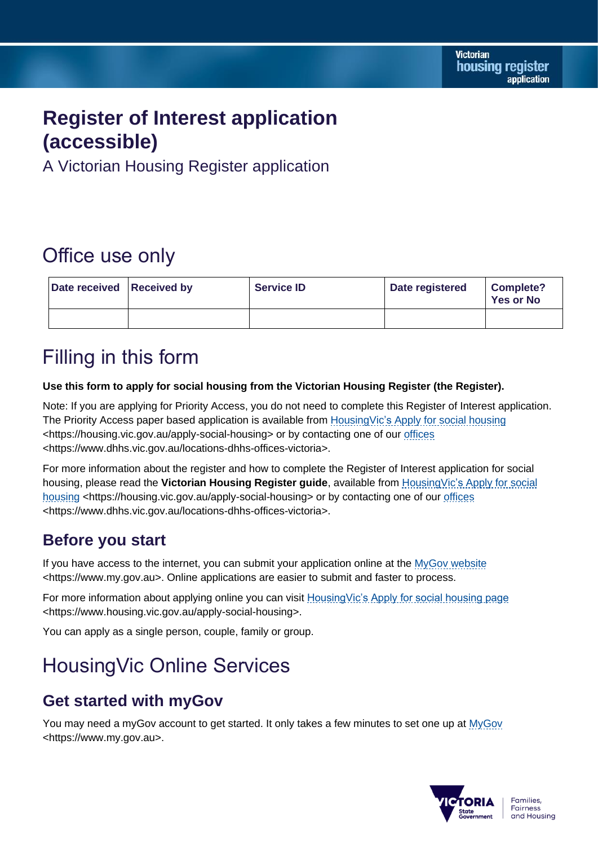# **Register of Interest application (accessible)**

A Victorian Housing Register application

# Office use only

| Date received Received by | <b>Service ID</b> | Date registered | <b>Complete?</b><br><b>Yes or No</b> |
|---------------------------|-------------------|-----------------|--------------------------------------|
|                           |                   |                 |                                      |

# Filling in this form

#### **Use this form to apply for social housing from the Victorian Housing Register (the Register).**

Note: If you are applying for Priority Access, you do not need to complete this Register of Interest application. The Priority Access paper based application is available from HousingVic's [Apply for social housing](https://dhhsvicgovau-my.sharepoint.com/personal/elpi_anasta_dffh_vic_gov_au/Documents/VHR%20Folder/Forms/RoI%20&%20Priority%20Access%20Form%20&%20SAR%20review/Housing.Vics%20Apply%20for%20social%20housing) <https://housing.vic.gov.au/apply-social-housing> or by contacting one of our [offices](https://www.dhhs.vic.gov.au/locations-dhhs-offices-victoria) <https://www.dhhs.vic.gov.au/locations-dhhs-offices-victoria>.

For more information about the register and how to complete the Register of Interest application for social housing, please read the **Victorian Housing Register guide**, available from HousingVic's [Apply for social](https://dhhsvicgovau-my.sharepoint.com/personal/elpi_anasta_dffh_vic_gov_au/Documents/VHR%20Folder/Forms/RoI%20&%20Priority%20Access%20Form%20&%20SAR%20review/Housing.Vics%20Apply%20for%20social%20housing)  [housing](https://dhhsvicgovau-my.sharepoint.com/personal/elpi_anasta_dffh_vic_gov_au/Documents/VHR%20Folder/Forms/RoI%20&%20Priority%20Access%20Form%20&%20SAR%20review/Housing.Vics%20Apply%20for%20social%20housing) <https://housing.vic.gov.au/apply-social-housing> or by contacting one of our [offices](https://www.dhhs.vic.gov.au/locations-dhhs-offices-victoria) <https://www.dhhs.vic.gov.au/locations-dhhs-offices-victoria>.

### **Before you start**

If you have access to the internet, you can submit your application online at the [MyGov website](https://www.my.gov.au/) <https://www.my.gov.au>. Online applications are easier to submit and faster to process.

For more information about applying online you can visit [HousingVic's Apply for social housing page](https://www.housing.vic.gov.au/apply-social-housing) <https://www.housing.vic.gov.au/apply-social-housing>.

You can apply as a single person, couple, family or group.

# HousingVic Online Services

## **Get started with myGov**

You may need a myGov account to get started. It only takes a few minutes to set one up at [MyGov](https://www.my.gov.au/) <https://www.my.gov.au>.

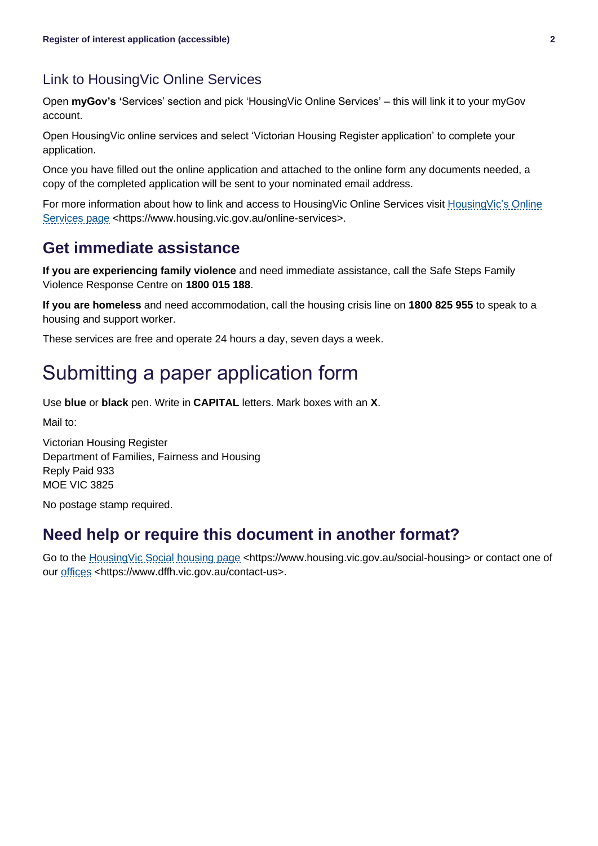### Link to HousingVic Online Services

Open **myGov's '**Services' section and pick 'HousingVic Online Services' – this will link it to your myGov account.

Open HousingVic online services and select 'Victorian Housing Register application' to complete your application.

Once you have filled out the online application and attached to the online form any documents needed, a copy of the completed application will be sent to your nominated email address.

For more information about how to link and access to HousingVic Online Services visit [HousingVic's Online](https://www.housing.vic.gov.au/online-services)  [Services page](https://www.housing.vic.gov.au/online-services) <https://www.housing.vic.gov.au/online-services>.

### **Get immediate assistance**

**If you are experiencing family violence** and need immediate assistance, call the Safe Steps Family Violence Response Centre on **1800 015 188**.

**If you are homeless** and need accommodation, call the housing crisis line on **1800 825 955** to speak to a housing and support worker.

These services are free and operate 24 hours a day, seven days a week.

# Submitting a paper application form

Use **blue** or **black** pen. Write in **CAPITAL** letters. Mark boxes with an **X**.

Mail to:

Victorian Housing Register Department of Families, Fairness and Housing Reply Paid 933 MOE VIC 3825

No postage stamp required.

### **Need help or require this document in another format?**

Go to the HousingVic [Social housing page](https://www.housing.vic.gov.au/social-housing) <https://www.housing.vic.gov.au/social-housing> or contact one of our [offices](https://www.dhhs.vic.gov.au/locations-dhhs-offices-victoria) <https://www.dffh.vic.gov.au/contact-us>.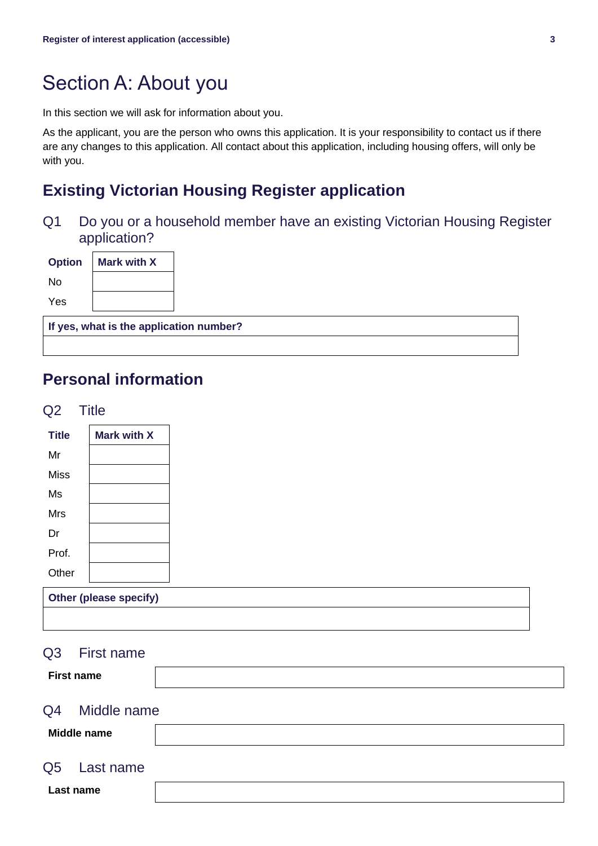# Section A: About you

In this section we will ask for information about you.

As the applicant, you are the person who owns this application. It is your responsibility to contact us if there are any changes to this application. All contact about this application, including housing offers, will only be with you.

### **Existing Victorian Housing Register application**

Q1 Do you or a household member have an existing Victorian Housing Register application?

| No  |                                         |  |
|-----|-----------------------------------------|--|
|     |                                         |  |
| Yes |                                         |  |
|     | If yes, what is the application number? |  |

### **Personal information**

| Q2             | <b>Title</b>           |  |  |  |  |
|----------------|------------------------|--|--|--|--|
| <b>Title</b>   | <b>Mark with X</b>     |  |  |  |  |
| $\sf Mr$       |                        |  |  |  |  |
| Miss           |                        |  |  |  |  |
| Ms             |                        |  |  |  |  |
| Mrs            |                        |  |  |  |  |
| Dr             |                        |  |  |  |  |
| Prof.          |                        |  |  |  |  |
| Other          |                        |  |  |  |  |
|                | Other (please specify) |  |  |  |  |
|                |                        |  |  |  |  |
| Q3             | First name             |  |  |  |  |
|                | <b>First name</b>      |  |  |  |  |
| Q4             | Middle name            |  |  |  |  |
|                | Middle name            |  |  |  |  |
| Q <sub>5</sub> | Last name              |  |  |  |  |
|                | Last name              |  |  |  |  |
|                |                        |  |  |  |  |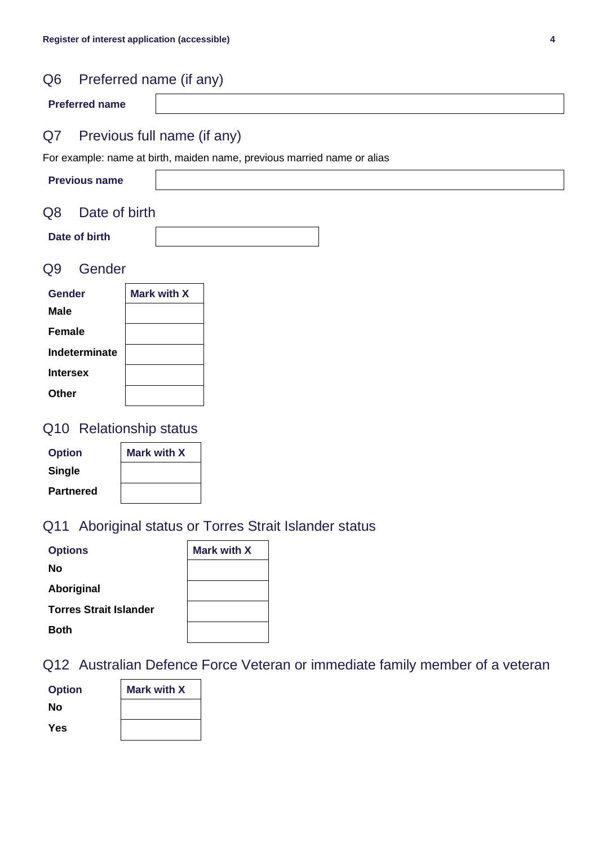### Q6 Preferred name (if any)

### Q7 Previous full name (if any)

For example: name at birth, maiden name, previous married name or alias

| <b>Previous name</b> |  |
|----------------------|--|
|                      |  |

#### Q8 Date of birth

| Date of birth |  |
|---------------|--|
|               |  |

#### Q9 Gender

| Gender          | Mark with X |
|-----------------|-------------|
| <b>Male</b>     |             |
| <b>Female</b>   |             |
| Indeterminate   |             |
| <b>Intersex</b> |             |
| Other           |             |

### Q10 Relationship status

| <b>Option</b>    | <b>Mark with X</b> |
|------------------|--------------------|
| <b>Single</b>    |                    |
| <b>Partnered</b> |                    |

### Q11 Aboriginal status or Torres Strait Islander status

| <b>Options</b>                | <b>Mark with X</b> |  |
|-------------------------------|--------------------|--|
| No                            |                    |  |
| Aboriginal                    |                    |  |
| <b>Torres Strait Islander</b> |                    |  |
| <b>Both</b>                   |                    |  |

#### Q12 Australian Defence Force Veteran or immediate family member of a veteran

| <b>Option</b> | <b>Mark with X</b> |
|---------------|--------------------|
| No            |                    |
| <b>Yes</b>    |                    |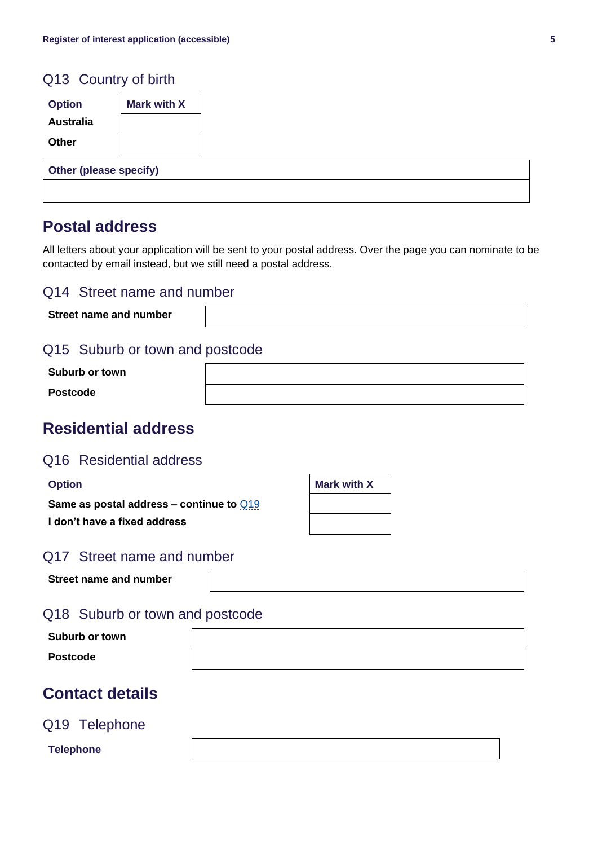### Q13 Country of birth

| <b>Option</b>                 | <b>Mark with X</b> |
|-------------------------------|--------------------|
| <b>Australia</b>              |                    |
| Other                         |                    |
| <b>Other (please specify)</b> |                    |

### **Postal address**

All letters about your application will be sent to your postal address. Over the page you can nominate to be contacted by email instead, but we still need a postal address.

#### Q14 Street name and number

**Street name and number**

#### Q15 Suburb or town and postcode

| <b>Suburb or town</b> |  |
|-----------------------|--|
| <b>Postcode</b>       |  |

### **Residential address**

#### Q16 Residential address

| <b>Option</b>                                | Mark with X |
|----------------------------------------------|-------------|
| Same as postal address – continue to $Q_1$ 9 |             |
| I don't have a fixed address                 |             |

| <b>Mark with X</b> |  |  |
|--------------------|--|--|
|                    |  |  |
|                    |  |  |
|                    |  |  |

#### Q17 Street name and number

|  |  |  | Street name and number |
|--|--|--|------------------------|
|--|--|--|------------------------|

#### Q18 Suburb or town and postcode

| Suburb or town |  |
|----------------|--|
| Postcode       |  |

### **Contact details**

#### <span id="page-4-0"></span>Q19 Telephone

**Telephone**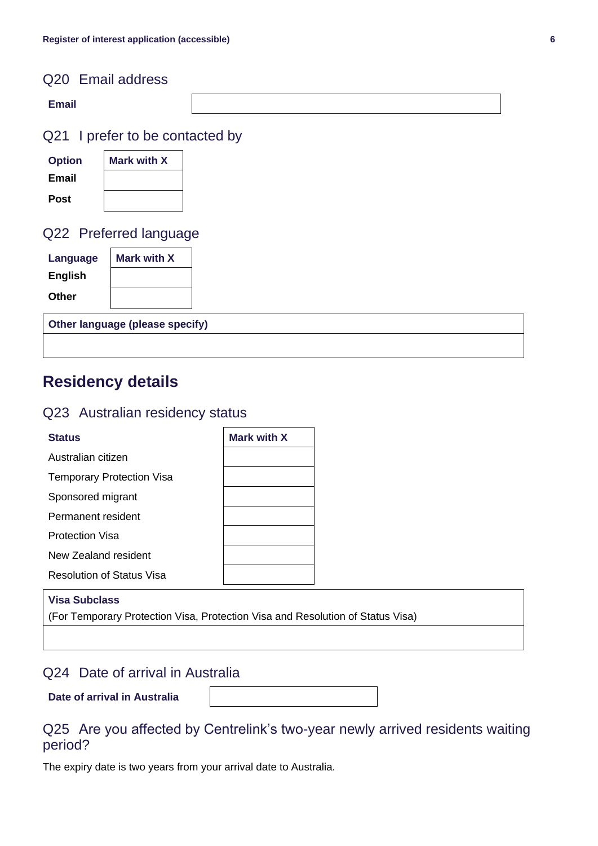### Q20 Email address

| $\sim 100$<br>- |  |
|-----------------|--|
|                 |  |

Q21 I prefer to be contacted by

| <b>Option</b> | <b>Mark with X</b> |  |
|---------------|--------------------|--|
| Email         |                    |  |
| <b>Post</b>   |                    |  |

#### Q22 Preferred language

| Language       | <b>Mark with X</b> |
|----------------|--------------------|
| <b>English</b> |                    |
| Other          |                    |

**Other language (please specify)**

### **Residency details**

#### Q23 Australian residency status

| <b>Status</b>                    | Mark with X |  |
|----------------------------------|-------------|--|
| Australian citizen               |             |  |
| <b>Temporary Protection Visa</b> |             |  |
| Sponsored migrant                |             |  |
| Permanent resident               |             |  |
| <b>Protection Visa</b>           |             |  |
| New Zealand resident             |             |  |
| <b>Resolution of Status Visa</b> |             |  |

#### **Visa Subclass**

(For Temporary Protection Visa, Protection Visa and Resolution of Status Visa)

#### Q24 Date of arrival in Australia

**Date of arrival in Australia**

#### Q25 Are you affected by Centrelink's two-year newly arrived residents waiting period?

The expiry date is two years from your arrival date to Australia.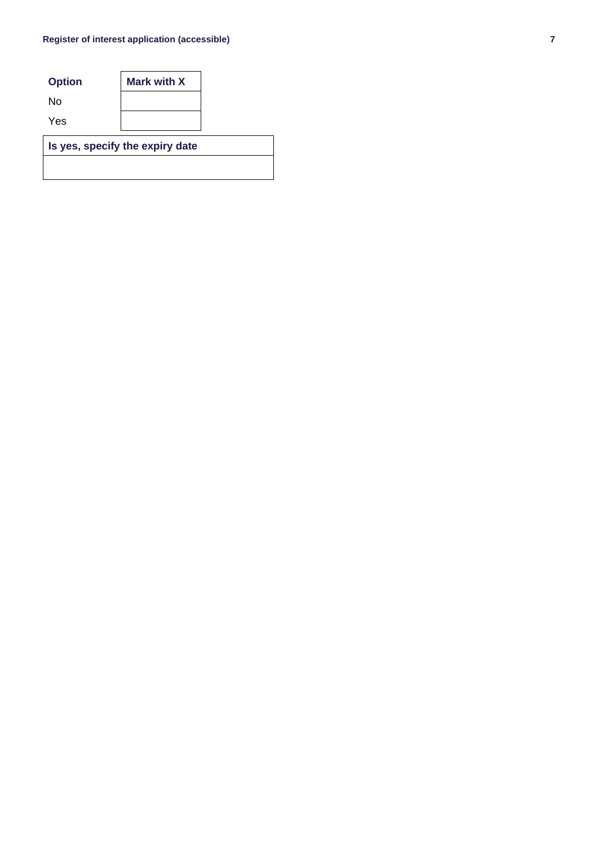| <b>Option</b>                   | <b>Mark with X</b> |  |
|---------------------------------|--------------------|--|
| N٥                              |                    |  |
| Yes                             |                    |  |
| Is yes, specify the expiry date |                    |  |
|                                 |                    |  |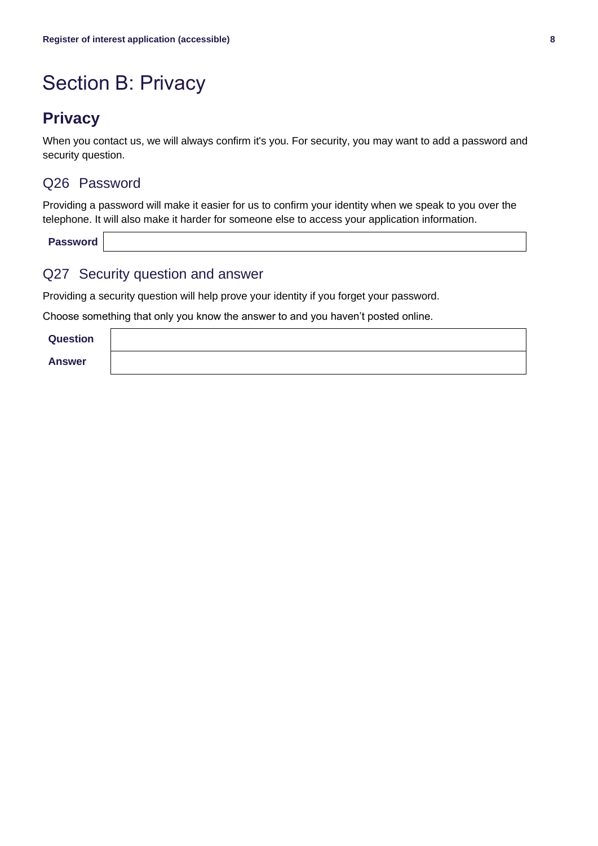# Section B: Privacy

### **Privacy**

When you contact us, we will always confirm it's you. For security, you may want to add a password and security question.

#### Q26 Password

Providing a password will make it easier for us to confirm your identity when we speak to you over the telephone. It will also make it harder for someone else to access your application information.

**Password**

#### Q27 Security question and answer

Providing a security question will help prove your identity if you forget your password.

Choose something that only you know the answer to and you haven't posted online.

| <b>Question</b> |  |
|-----------------|--|
| <b>Answer</b>   |  |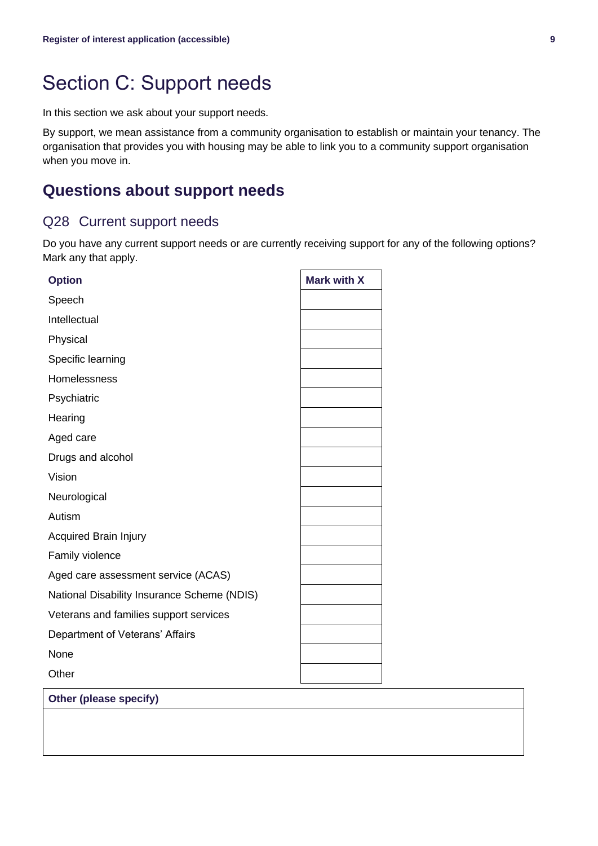# Section C: Support needs

In this section we ask about your support needs.

By support, we mean assistance from a community organisation to establish or maintain your tenancy. The organisation that provides you with housing may be able to link you to a community support organisation when you move in.

### **Questions about support needs**

#### Q28 Current support needs

Do you have any current support needs or are currently receiving support for any of the following options? Mark any that apply.

| <b>Option</b>                               | <b>Mark with X</b> |
|---------------------------------------------|--------------------|
| Speech                                      |                    |
| Intellectual                                |                    |
| Physical                                    |                    |
| Specific learning                           |                    |
| Homelessness                                |                    |
| Psychiatric                                 |                    |
| Hearing                                     |                    |
| Aged care                                   |                    |
| Drugs and alcohol                           |                    |
| Vision                                      |                    |
| Neurological                                |                    |
| Autism                                      |                    |
| <b>Acquired Brain Injury</b>                |                    |
| Family violence                             |                    |
| Aged care assessment service (ACAS)         |                    |
| National Disability Insurance Scheme (NDIS) |                    |
| Veterans and families support services      |                    |
| Department of Veterans' Affairs             |                    |
| None                                        |                    |
| Other                                       |                    |

**Other (please specify)**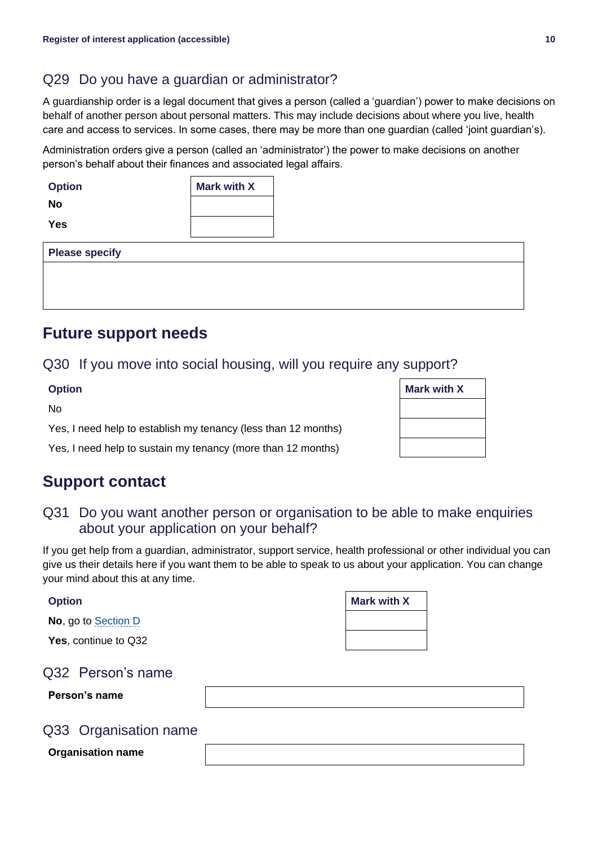### Q29 Do you have a guardian or administrator?

A guardianship order is a legal document that gives a person (called a 'guardian') power to make decisions on behalf of another person about personal matters. This may include decisions about where you live, health care and access to services. In some cases, there may be more than one guardian (called 'joint guardian's).

Administration orders give a person (called an 'administrator') the power to make decisions on another person's behalf about their finances and associated legal affairs.

| <b>Option</b> | <b>Mark with X</b> |
|---------------|--------------------|
| No            |                    |
| Yes           |                    |

| <b>Please specify</b> |  |
|-----------------------|--|
|-----------------------|--|

### **Future support needs**

#### Q30 If you move into social housing, will you require any support?

No

### **Support contact**

#### Q31 Do you want another person or organisation to be able to make enquiries about your application on your behalf?

If you get help from a guardian, administrator, support service, health professional or other individual you can give us their details here if you want them to be able to speak to us about your application. You can change your mind about this at any time.

**No**, go to [Section D](#page-10-0)

**Yes**, continue to Q32



#### Q32 Person's name

**Person's name**

#### Q33 Organisation name

**Organisation name**

| Option                                                         | <b>Mark with X</b> |
|----------------------------------------------------------------|--------------------|
| Nο                                                             |                    |
| Yes, I need help to establish my tenancy (less than 12 months) |                    |
| Yes, I need help to sustain my tenancy (more than 12 months)   |                    |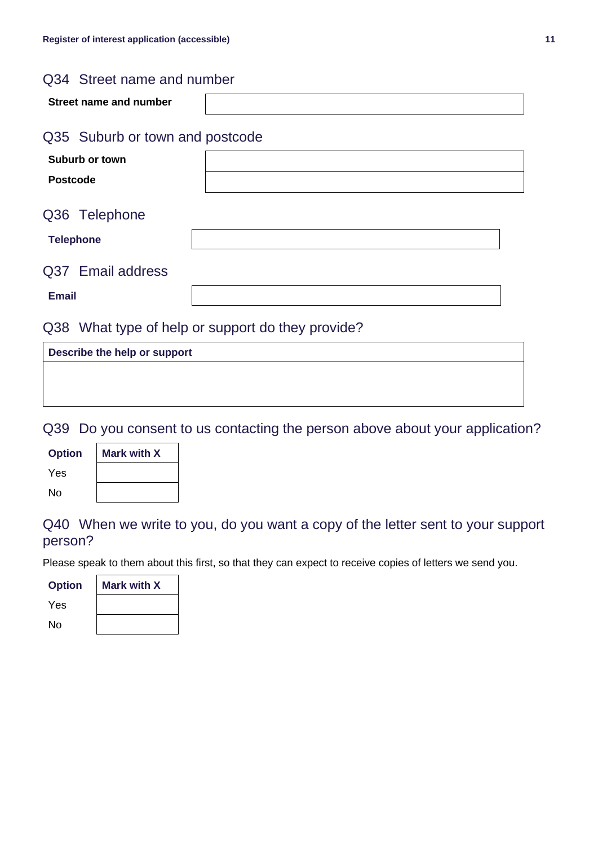#### Q34 Street name and number

| Street name and number                            |  |
|---------------------------------------------------|--|
| Q35 Suburb or town and postcode<br>Suburb or town |  |
| <b>Postcode</b>                                   |  |
| Q36 Telephone                                     |  |
| <b>Telephone</b>                                  |  |
| Q37 Email address<br><b>Email</b>                 |  |
| Q38 What type of help or support do they provide? |  |

| Describe the help or support |  |
|------------------------------|--|
|                              |  |
|                              |  |

Q39 Do you consent to us contacting the person above about your application?

| <b>Option</b> | Mark with X |
|---------------|-------------|
| Yes           |             |
| N٥            |             |

Q40 When we write to you, do you want a copy of the letter sent to your support person?

Please speak to them about this first, so that they can expect to receive copies of letters we send you.

<span id="page-10-0"></span>

| <b>Option</b> | <b>Mark with X</b> |  |
|---------------|--------------------|--|
| Yes           |                    |  |
| N٥            |                    |  |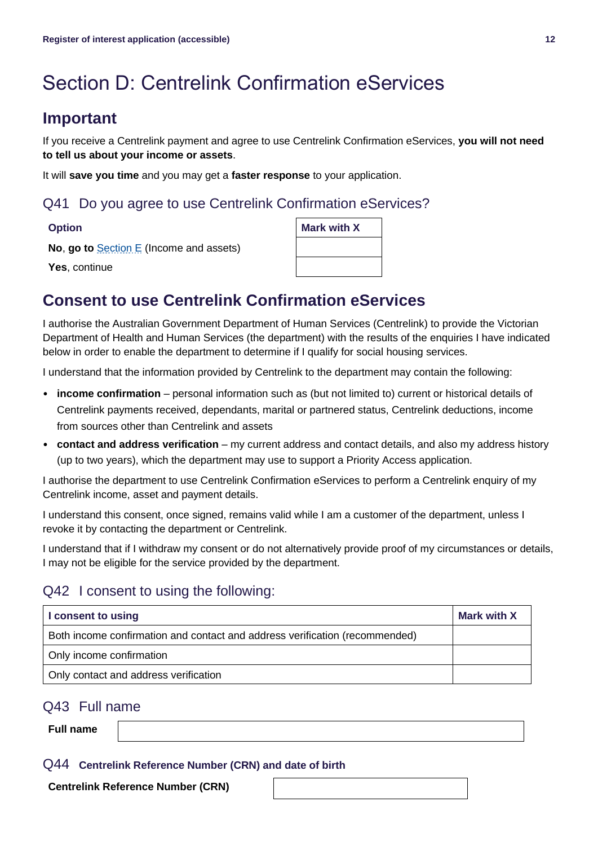# Section D: Centrelink Confirmation eServices

### **Important**

If you receive a Centrelink payment and agree to use Centrelink Confirmation eServices, **you will not need to tell us about your income or assets**.

It will **save you time** and you may get a **faster response** to your application.

#### Q41 Do you agree to use Centrelink Confirmation eServices?

#### **Option**

**No**, **go to** [Section E](#page-13-0) (Income and assets)

**Yes**, continue

| <b>Mark with X</b> |  |
|--------------------|--|
|                    |  |
|                    |  |

## **Consent to use Centrelink Confirmation eServices**

I authorise the Australian Government Department of Human Services (Centrelink) to provide the Victorian Department of Health and Human Services (the department) with the results of the enquiries I have indicated below in order to enable the department to determine if I qualify for social housing services.

I understand that the information provided by Centrelink to the department may contain the following:

- **income confirmation** personal information such as (but not limited to) current or historical details of Centrelink payments received, dependants, marital or partnered status, Centrelink deductions, income from sources other than Centrelink and assets
- **contact and address verification** my current address and contact details, and also my address history (up to two years), which the department may use to support a Priority Access application.

I authorise the department to use Centrelink Confirmation eServices to perform a Centrelink enquiry of my Centrelink income, asset and payment details.

I understand this consent, once signed, remains valid while I am a customer of the department, unless I revoke it by contacting the department or Centrelink.

I understand that if I withdraw my consent or do not alternatively provide proof of my circumstances or details, I may not be eligible for the service provided by the department.

### Q42 I consent to using the following:

| I consent to using                                                          | Mark with X |
|-----------------------------------------------------------------------------|-------------|
| Both income confirmation and contact and address verification (recommended) |             |
| Only income confirmation                                                    |             |
| Only contact and address verification                                       |             |

#### Q43 Full name

Q44 **Centrelink Reference Number (CRN) and date of birth**

**Centrelink Reference Number (CRN)**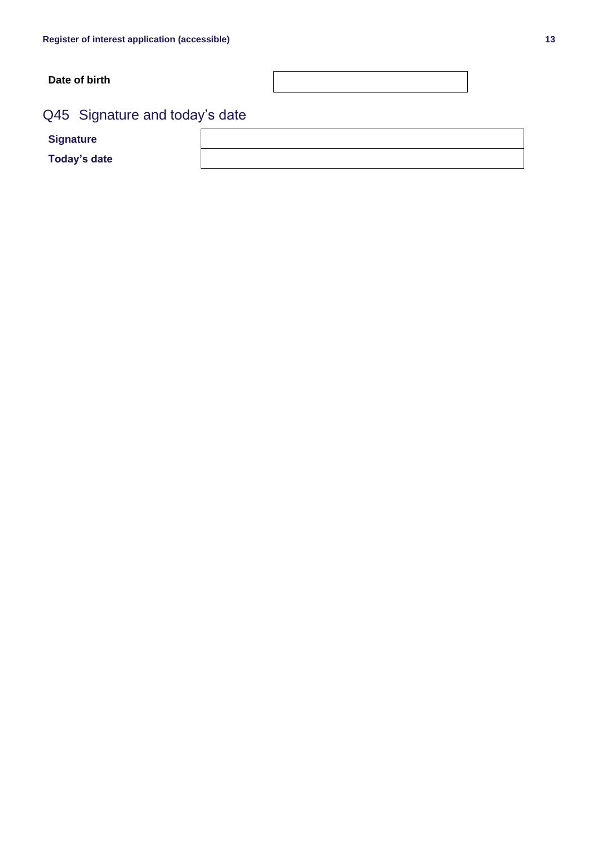#### **Date of birth**

### Q45 Signature and today's date

**Signature**

**Today's date**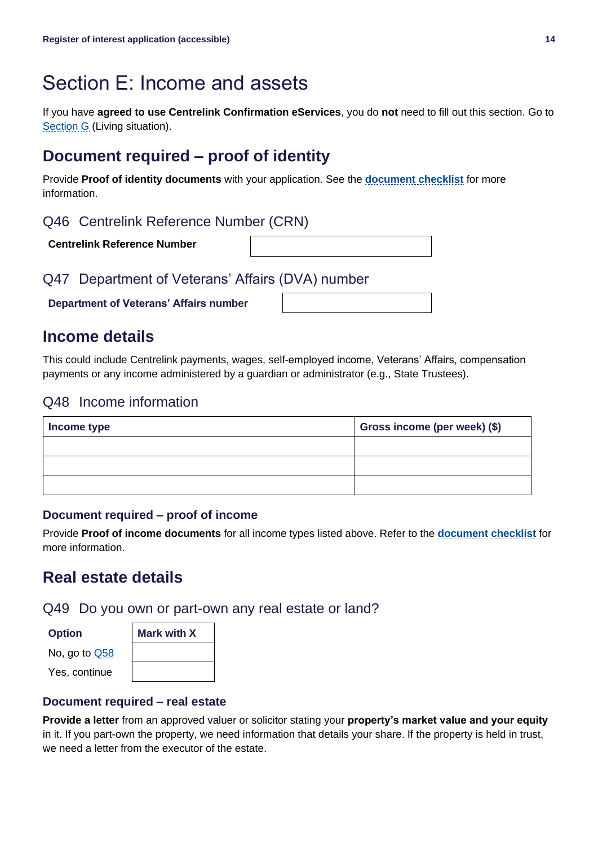# <span id="page-13-0"></span>Section E: Income and assets

If you have **agreed to use Centrelink Confirmation eServices**, you do **not** need to fill out this section. Go to [Section G](#page-18-0) (Living situation).

### **Document required – proof of identity**

Provide **Proof of identity documents** with your application. See the **[document checklist](#page-21-0)** for more information.

#### Q46 Centrelink Reference Number (CRN)

**Centrelink Reference Number**

Q47 Department of Veterans' Affairs (DVA) number

**Department of Veterans' Affairs number**

**Income details**

This could include Centrelink payments, wages, self-employed income, Veterans' Affairs, compensation payments or any income administered by a guardian or administrator (e.g., State Trustees).

#### Q48 Income information

| Income type | Gross income (per week) (\$) |
|-------------|------------------------------|
|             |                              |
|             |                              |
|             |                              |

#### **Document required – proof of income**

Provide **Proof of income documents** for all income types listed above. Refer to the **[document checklist](#page-21-0)** for more information.

### **Real estate details**

Q49 Do you own or part-own any real estate or land?

| ntio<br>וונ |
|-------------|
|-------------|

|  | No, go to $\overline{Q58}$ |
|--|----------------------------|
|  | Yes, continue              |

| <b>Option</b> | <b>Mark with X</b> |
|---------------|--------------------|
| No, go to Q58 |                    |
| Yes, continue |                    |

#### **Document required – real estate**

**Provide a letter** from an approved valuer or solicitor stating your **property's market value and your equity** in it. If you part-own the property, we need information that details your share. If the property is held in trust, we need a letter from the executor of the estate.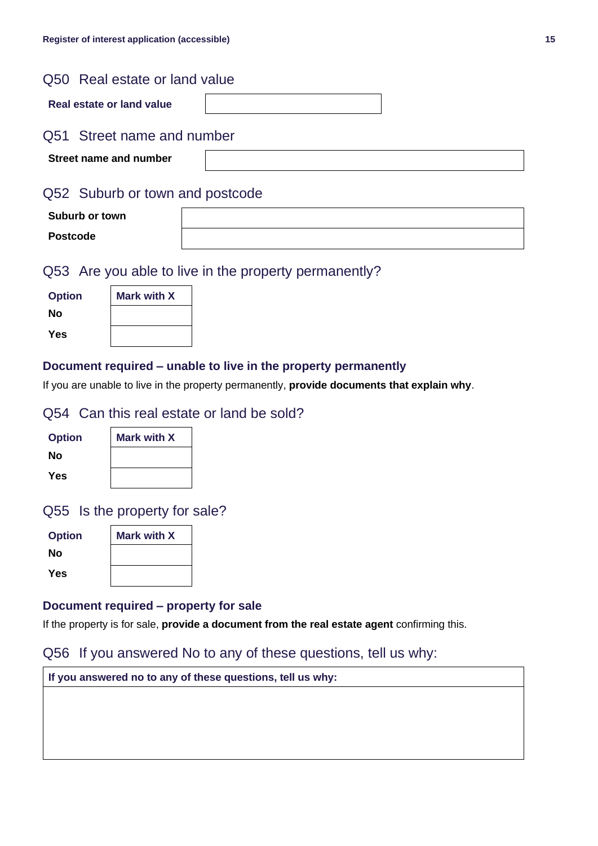### Q50 Real estate or land value

#### Q51 Street name and number

**Street name and number**

#### Q52 Suburb or town and postcode

| Suburb or town  |  |
|-----------------|--|
| <b>Postcode</b> |  |

#### Q53 Are you able to live in the property permanently?

| <b>Option</b> | <b>Mark with X</b> |
|---------------|--------------------|
| Nο            |                    |
| Yes           |                    |

#### **Document required – unable to live in the property permanently**

If you are unable to live in the property permanently, **provide documents that explain why**.

#### Q54 Can this real estate or land be sold?

| <b>Option</b> | <b>Mark with X</b> |
|---------------|--------------------|
| Nο            |                    |
| Yes           |                    |

#### Q55 Is the property for sale?

| <b>Option</b> | <b>Mark with X</b> |
|---------------|--------------------|
| Nο            |                    |
| Yes           |                    |

#### **Document required – property for sale**

If the property is for sale, **provide a document from the real estate agent** confirming this.

#### Q56 If you answered No to any of these questions, tell us why:

| If you answered no to any of these questions, tell us why: |
|------------------------------------------------------------|
|                                                            |
|                                                            |
|                                                            |
|                                                            |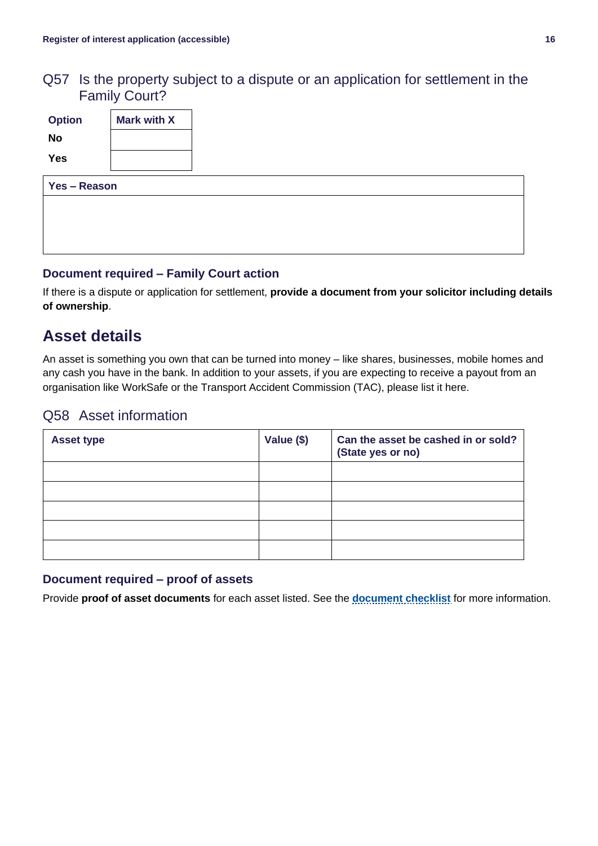### Q57 Is the property subject to a dispute or an application for settlement in the Family Court?

| <b>Option</b><br>$\mathsf{No}$<br>Yes | <b>Mark with X</b> |  |
|---------------------------------------|--------------------|--|
| Yes - Reason                          |                    |  |
|                                       |                    |  |
|                                       |                    |  |
|                                       |                    |  |

#### **Document required – Family Court action**

If there is a dispute or application for settlement, **provide a document from your solicitor including details of ownership**.

### **Asset details**

An asset is something you own that can be turned into money – like shares, businesses, mobile homes and any cash you have in the bank. In addition to your assets, if you are expecting to receive a payout from an organisation like WorkSafe or the Transport Accident Commission (TAC), please list it here.

#### <span id="page-15-0"></span>Q58 Asset information

| <b>Asset type</b> | Value (\$) | Can the asset be cashed in or sold?<br>(State yes or no) |
|-------------------|------------|----------------------------------------------------------|
|                   |            |                                                          |
|                   |            |                                                          |
|                   |            |                                                          |
|                   |            |                                                          |
|                   |            |                                                          |

#### **Document required – proof of assets**

Provide **proof of asset documents** for each asset listed. See the **[document checklist](#page-21-0)** for more information.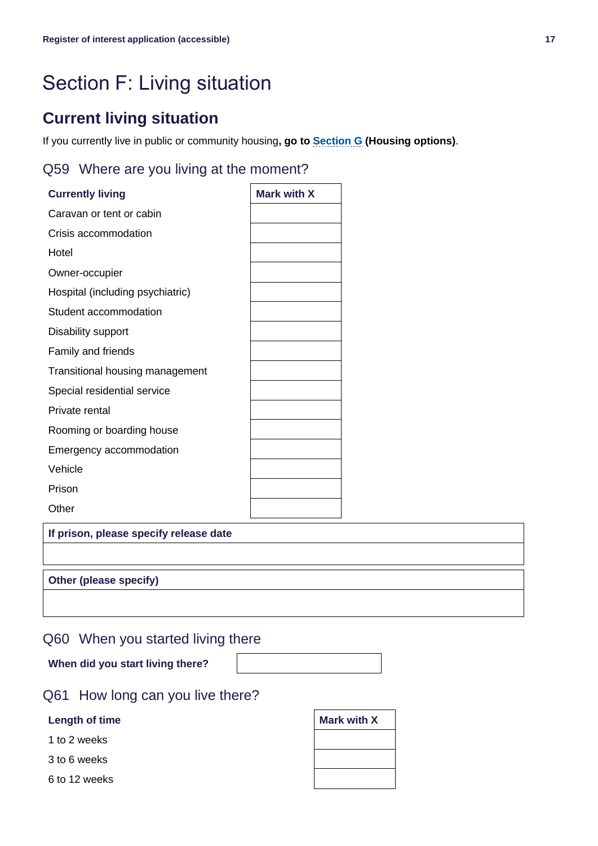# Section F: Living situation

### **Current living situation**

If you currently live in public or community housing**, go to [Section G](#page-18-0) (Housing options)**.

#### Q59 Where are you living at the moment?

| <b>Currently living</b>          | Mark with X |
|----------------------------------|-------------|
| Caravan or tent or cabin         |             |
| Crisis accommodation             |             |
| Hotel                            |             |
| Owner-occupier                   |             |
| Hospital (including psychiatric) |             |
| Student accommodation            |             |
| Disability support               |             |
| Family and friends               |             |
| Transitional housing management  |             |
| Special residential service      |             |
| Private rental                   |             |
| Rooming or boarding house        |             |
| Emergency accommodation          |             |
| Vehicle                          |             |
| Prison                           |             |
| Other                            |             |

**If prison, please specify release date**

**Other (please specify)**

#### Q60 When you started living there

**When did you start living there?**

| Q61 How long can you live there? |  |  |  |  |  |  |  |
|----------------------------------|--|--|--|--|--|--|--|
|----------------------------------|--|--|--|--|--|--|--|

#### **Length of time**

1 to 2 weeks

3 to 6 weeks

6 to 12 weeks

| <b>Mark with X</b> |  |
|--------------------|--|
|                    |  |
|                    |  |
|                    |  |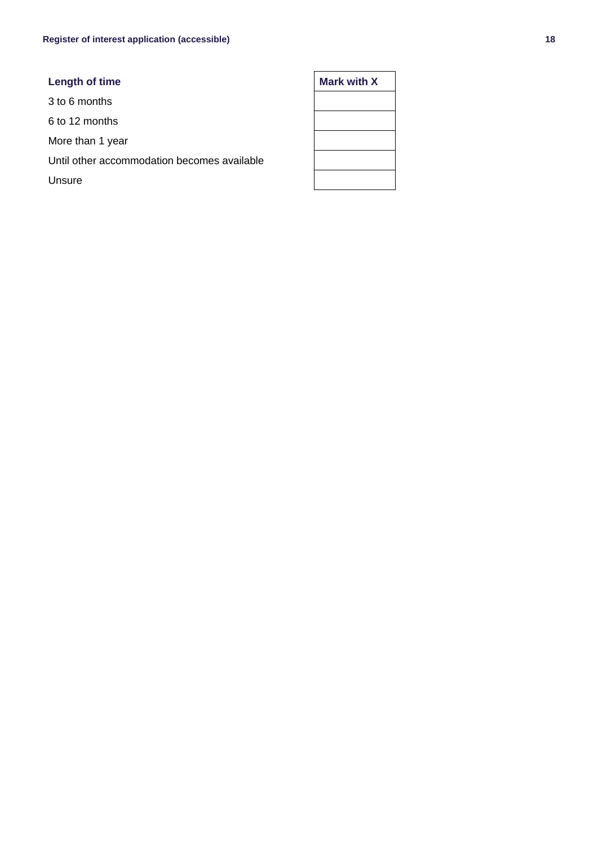#### **Length of time**

3 to 6 months

6 to 12 months

More than 1 year

Until other accommodation becomes available

Unsure

| <b>Mark with X</b> |  |  |
|--------------------|--|--|
|                    |  |  |
|                    |  |  |
|                    |  |  |
|                    |  |  |
|                    |  |  |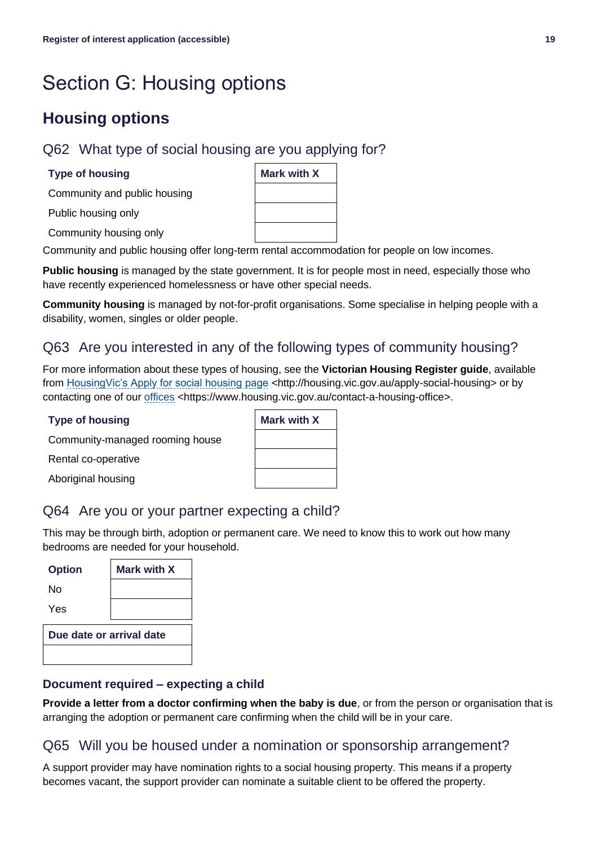# <span id="page-18-0"></span>Section G: Housing options

### **Housing options**

### Q62 What type of social housing are you applying for?

#### **Type of housing Mark with X**

Community and public housing

Public housing only

Community housing only

Community and public housing offer long-term rental accommodation for people on low incomes.

**Public housing** is managed by the state government. It is for people most in need, especially those who have recently experienced homelessness or have other special needs.

**Community housing** is managed by not-for-profit organisations. Some specialise in helping people with a disability, women, singles or older people.

#### Q63 Are you interested in any of the following types of community housing?

For more information about these types of housing, see the **Victorian Housing Register guide**, available from [HousingVic's Apply for social housing page](https://housing.vic.gov.au/apply-social-housing) <http://housing.vic.gov.au/apply-social-housing> or by contacting one of our [offices](https://www.housing.vic.gov.au/contact-a-housing-office) <https://www.housing.vic.gov.au/contact-a-housing-office>.

#### **Type of housing**

Community-managed rooming house

Rental co-operative

Aboriginal housing

#### Q64 Are you or your partner expecting a child?

This may be through birth, adoption or permanent care. We need to know this to work out how many bedrooms are needed for your household.

| <b>Option</b>            | Mark with X |
|--------------------------|-------------|
| N٥                       |             |
| Yes                      |             |
| Due date or arrival date |             |
|                          |             |

#### **Document required – expecting a child**

**Provide a letter from a doctor confirming when the baby is due**, or from the person or organisation that is arranging the adoption or permanent care confirming when the child will be in your care.

#### Q65 Will you be housed under a nomination or sponsorship arrangement?

A support provider may have nomination rights to a social housing property. This means if a property becomes vacant, the support provider can nominate a suitable client to be offered the property.

| <b>Mark with X</b> |
|--------------------|
|                    |
|                    |
|                    |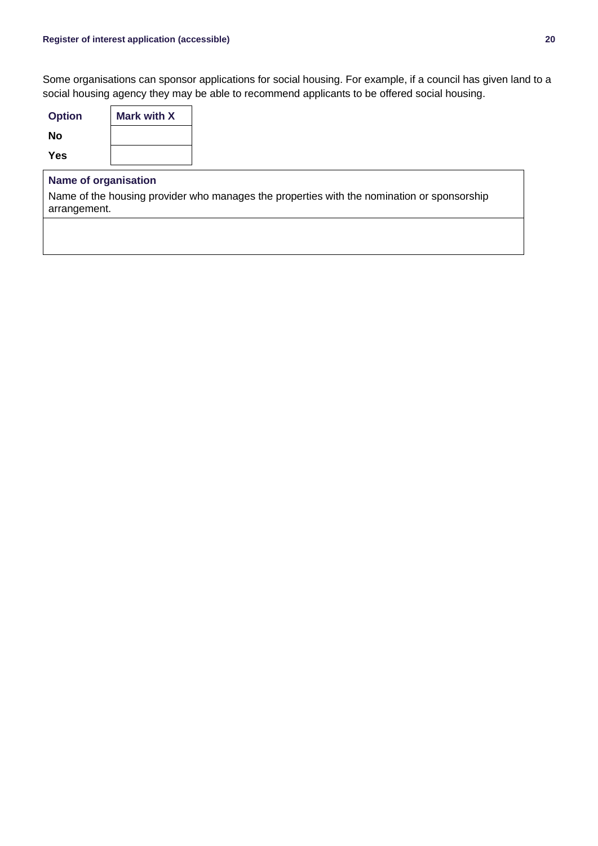Some organisations can sponsor applications for social housing. For example, if a council has given land to a social housing agency they may be able to recommend applicants to be offered social housing.

| <b>Option</b> | <b>Mark with X</b> |
|---------------|--------------------|
| <b>No</b>     |                    |
| <b>Yes</b>    |                    |

#### **Name of organisation**

Name of the housing provider who manages the properties with the nomination or sponsorship arrangement.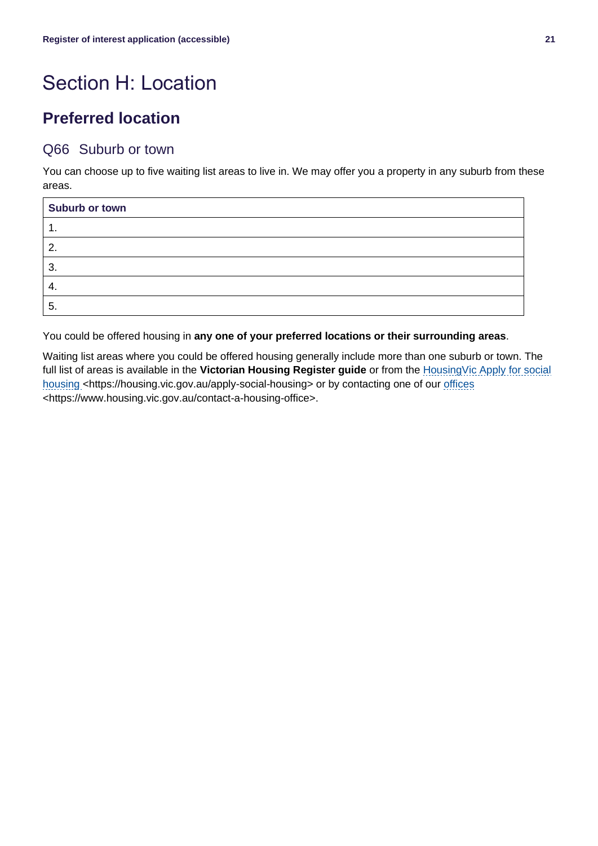# Section H: Location

### **Preferred location**

#### Q66 Suburb or town

You can choose up to five waiting list areas to live in. We may offer you a property in any suburb from these areas.

| Suburb or town |  |
|----------------|--|
| . .            |  |
| 2.             |  |
| З.             |  |
| - 4.           |  |
| 5              |  |

You could be offered housing in **any one of your preferred locations or their surrounding areas**.

Waiting list areas where you could be offered housing generally include more than one suburb or town. The full list of areas is available in the **Victorian Housing Register guide** or from the [HousingVic Apply for social](https://housing.vic.gov.au/apply-social-housing)  [housing](https://housing.vic.gov.au/apply-social-housing) <https://housing.vic.gov.au/apply-social-housing> or by contacting one of our [offices](https://www.housing.vic.gov.au/contact-a-housing-office) <https://www.housing.vic.gov.au/contact-a-housing-office>.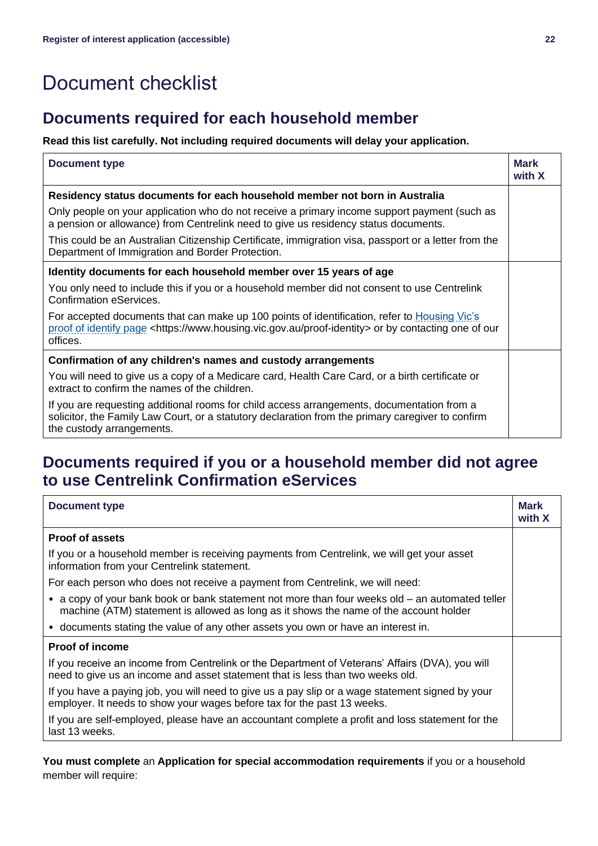# <span id="page-21-0"></span>Document checklist

### **Documents required for each household member**

**Read this list carefully. Not including required documents will delay your application.**

| <b>Document type</b>                                                                                                                                                                                                          | <b>Mark</b><br>with X |
|-------------------------------------------------------------------------------------------------------------------------------------------------------------------------------------------------------------------------------|-----------------------|
| Residency status documents for each household member not born in Australia                                                                                                                                                    |                       |
| Only people on your application who do not receive a primary income support payment (such as<br>a pension or allowance) from Centrelink need to give us residency status documents.                                           |                       |
| This could be an Australian Citizenship Certificate, immigration visa, passport or a letter from the<br>Department of Immigration and Border Protection.                                                                      |                       |
| Identity documents for each household member over 15 years of age                                                                                                                                                             |                       |
| You only need to include this if you or a household member did not consent to use Centrelink<br>Confirmation eServices.                                                                                                       |                       |
| For accepted documents that can make up 100 points of identification, refer to Housing Vic's<br>proof of identify page <https: proof-identity="" www.housing.vic.gov.au=""> or by contacting one of our<br/>offices.</https:> |                       |
| Confirmation of any children's names and custody arrangements                                                                                                                                                                 |                       |
| You will need to give us a copy of a Medicare card, Health Care Card, or a birth certificate or<br>extract to confirm the names of the children.                                                                              |                       |
| If you are requesting additional rooms for child access arrangements, documentation from a<br>solicitor, the Family Law Court, or a statutory declaration from the primary caregiver to confirm<br>the custody arrangements.  |                       |

### **Documents required if you or a household member did not agree to use Centrelink Confirmation eServices**

| Document type                                                                                                                                                                            | <b>Mark</b><br>with X |
|------------------------------------------------------------------------------------------------------------------------------------------------------------------------------------------|-----------------------|
| <b>Proof of assets</b>                                                                                                                                                                   |                       |
| If you or a household member is receiving payments from Centrelink, we will get your asset<br>information from your Centrelink statement.                                                |                       |
| For each person who does not receive a payment from Centrelink, we will need:                                                                                                            |                       |
| • a copy of your bank book or bank statement not more than four weeks old – an automated teller<br>machine (ATM) statement is allowed as long as it shows the name of the account holder |                       |
| • documents stating the value of any other assets you own or have an interest in.                                                                                                        |                       |
| Proof of income                                                                                                                                                                          |                       |
| If you receive an income from Centrelink or the Department of Veterans' Affairs (DVA), you will<br>need to give us an income and asset statement that is less than two weeks old.        |                       |
| If you have a paying job, you will need to give us a pay slip or a wage statement signed by your<br>employer. It needs to show your wages before tax for the past 13 weeks.              |                       |
| If you are self-employed, please have an accountant complete a profit and loss statement for the<br>last 13 weeks.                                                                       |                       |

**You must complete** an **Application for special accommodation requirements** if you or a household member will require: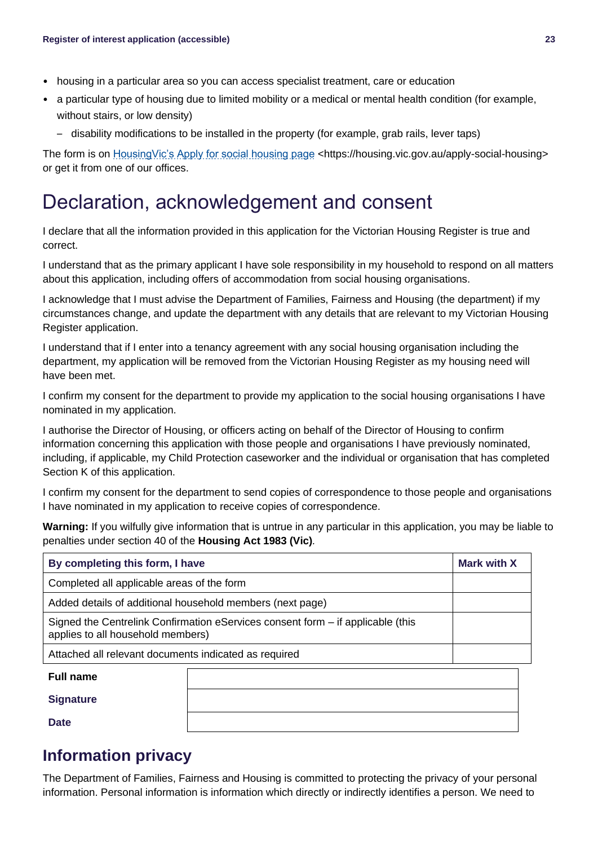- housing in a particular area so you can access specialist treatment, care or education
- a particular type of housing due to limited mobility or a medical or mental health condition (for example, without stairs, or low density)
	- disability modifications to be installed in the property (for example, grab rails, lever taps)

The form is on [HousingVic's Apply for social housing page](https://housing.vic.gov.au/apply-social-housing) <https://housing.vic.gov.au/apply-social-housing> or get it from one of our offices.

# Declaration, acknowledgement and consent

I declare that all the information provided in this application for the Victorian Housing Register is true and correct.

I understand that as the primary applicant I have sole responsibility in my household to respond on all matters about this application, including offers of accommodation from social housing organisations.

I acknowledge that I must advise the Department of Families, Fairness and Housing (the department) if my circumstances change, and update the department with any details that are relevant to my Victorian Housing Register application.

I understand that if I enter into a tenancy agreement with any social housing organisation including the department, my application will be removed from the Victorian Housing Register as my housing need will have been met.

I confirm my consent for the department to provide my application to the social housing organisations I have nominated in my application.

I authorise the Director of Housing, or officers acting on behalf of the Director of Housing to confirm information concerning this application with those people and organisations I have previously nominated, including, if applicable, my Child Protection caseworker and the individual or organisation that has completed Section K of this application.

I confirm my consent for the department to send copies of correspondence to those people and organisations I have nominated in my application to receive copies of correspondence.

**Warning:** If you wilfully give information that is untrue in any particular in this application, you may be liable to penalties under section 40 of the **Housing Act 1983 (Vic)***.*

| By completing this form, I have                                                                                      |  | Mark with X |
|----------------------------------------------------------------------------------------------------------------------|--|-------------|
| Completed all applicable areas of the form                                                                           |  |             |
| Added details of additional household members (next page)                                                            |  |             |
| Signed the Centrelink Confirmation eServices consent form – if applicable (this<br>applies to all household members) |  |             |
| Attached all relevant documents indicated as required                                                                |  |             |
| <b>Full name</b>                                                                                                     |  |             |

**Signature**

**Date**

### **Information privacy**

The Department of Families, Fairness and Housing is committed to protecting the privacy of your personal information. Personal information is information which directly or indirectly identifies a person. We need to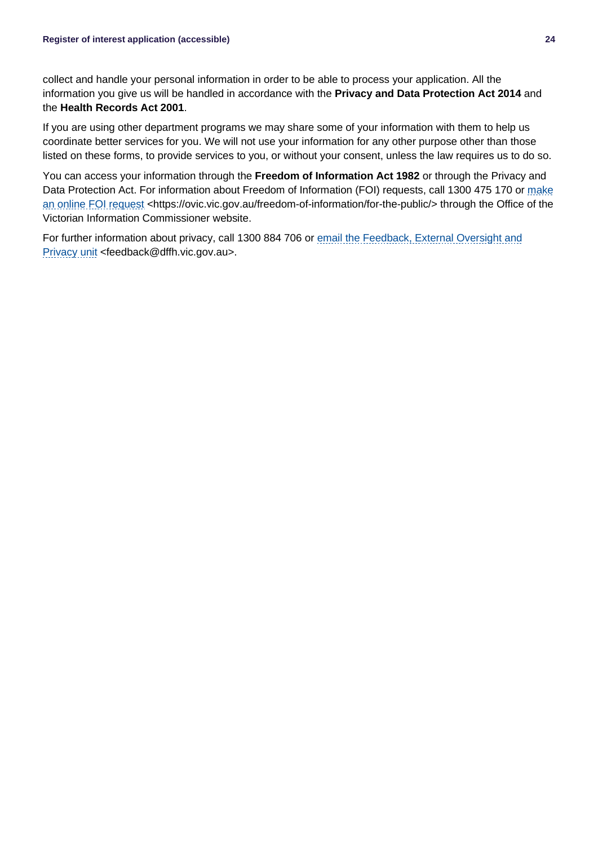collect and handle your personal information in order to be able to process your application. All the information you give us will be handled in accordance with the **Privacy and Data Protection Act 2014** and the **Health Records Act 2001**.

If you are using other department programs we may share some of your information with them to help us coordinate better services for you. We will not use your information for any other purpose other than those listed on these forms, to provide services to you, or without your consent, unless the law requires us to do so.

You can access your information through the **Freedom of Information Act 1982** or through the Privacy and Data Protection Act. For information about Freedom of Information (FOI) requests, call 1300 475 170 or make [an online FOI request](https://ovic.vic.gov.au/freedom-of-information/for-the-public/) <https://ovic.vic.gov.au/freedom-of-information/for-the-public/> through the Office of the Victorian Information Commissioner website.

For further information about privacy, call 1300 884 706 or [email the Feedback, External Oversight and](mailto:feedback@dffh.vic.gov.au)  [Privacy unit](mailto:feedback@dffh.vic.gov.au) <feedback@dffh.vic.gov.au>.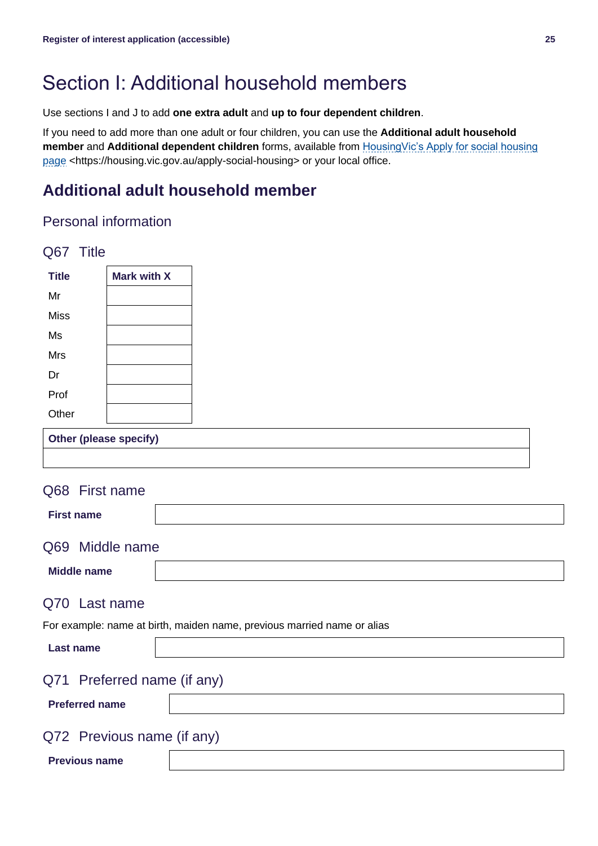# Section I: Additional household members

Use sections I and J to add **one extra adult** and **up to four dependent children**.

If you need to add more than one adult or four children, you can use the **Additional adult household member** and **Additional dependent children** forms, available from [HousingVic's Apply for social housing](https://housing.vic.gov.au/apply-social-housing)  [page](https://housing.vic.gov.au/apply-social-housing) <https://housing.vic.gov.au/apply-social-housing> or your local office.

### **Additional adult household member**

### Personal information

| Q67 Title             |                               |                                                                         |
|-----------------------|-------------------------------|-------------------------------------------------------------------------|
| <b>Title</b>          | <b>Mark with X</b>            |                                                                         |
| Mr                    |                               |                                                                         |
| <b>Miss</b>           |                               |                                                                         |
| Ms                    |                               |                                                                         |
| Mrs                   |                               |                                                                         |
| Dr                    |                               |                                                                         |
| Prof                  |                               |                                                                         |
| Other                 |                               |                                                                         |
|                       | <b>Other (please specify)</b> |                                                                         |
|                       |                               |                                                                         |
|                       | Q68 First name                |                                                                         |
|                       |                               |                                                                         |
| <b>First name</b>     |                               |                                                                         |
|                       | Q69 Middle name               |                                                                         |
| <b>Middle name</b>    |                               |                                                                         |
|                       | Q70 Last name                 |                                                                         |
|                       |                               | For example: name at birth, maiden name, previous married name or alias |
| <b>Last name</b>      |                               |                                                                         |
|                       | Q71 Preferred name (if any)   |                                                                         |
| <b>Preferred name</b> |                               |                                                                         |
|                       | Q72 Previous name (if any)    |                                                                         |
| <b>Previous name</b>  |                               |                                                                         |
|                       |                               |                                                                         |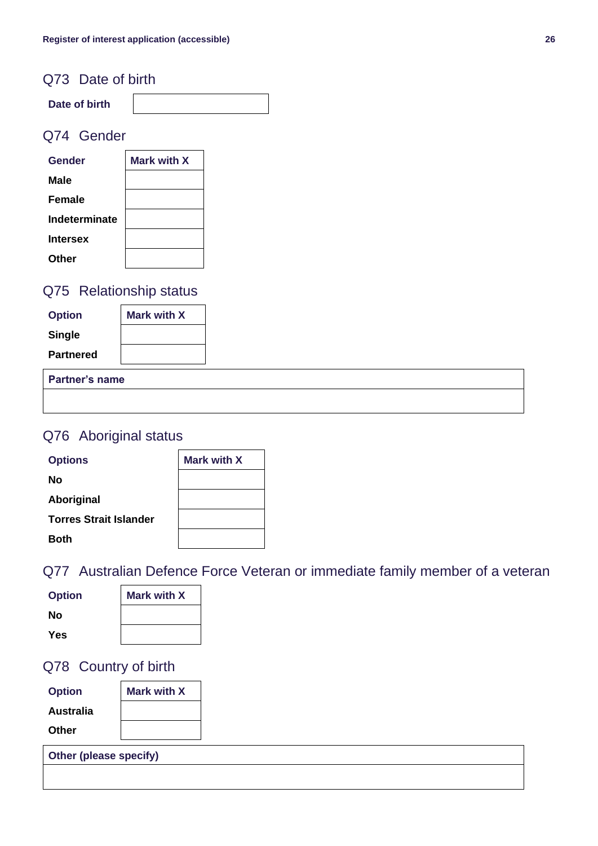#### Q73 Date of birth

**Date of birth**

#### Q74 Gender

| Gender          | <b>Mark with X</b> |
|-----------------|--------------------|
| <b>Male</b>     |                    |
| <b>Female</b>   |                    |
| Indeterminate   |                    |
| <b>Intersex</b> |                    |
| Other           |                    |

#### Q75 Relationship status

| <b>Option</b>    | <b>Mark with X</b> |
|------------------|--------------------|
| <b>Single</b>    |                    |
| <b>Partnered</b> |                    |

#### **Partner's name**

### Q76 Aboriginal status

| <b>Options</b>                | <b>Mark with X</b> |
|-------------------------------|--------------------|
| No                            |                    |
| Aboriginal                    |                    |
| <b>Torres Strait Islander</b> |                    |
| <b>Both</b>                   |                    |

### Q77 Australian Defence Force Veteran or immediate family member of a veteran

| <b>Option</b> | <b>Mark with X</b> |
|---------------|--------------------|
| Nο            |                    |
| Yes           |                    |

### Q78 Country of birth

| <b>Option</b> | <b>Mark with X</b> |
|---------------|--------------------|
| Australia     |                    |
| Other         |                    |

| Other (please specify) |  |  |  |  |
|------------------------|--|--|--|--|
|------------------------|--|--|--|--|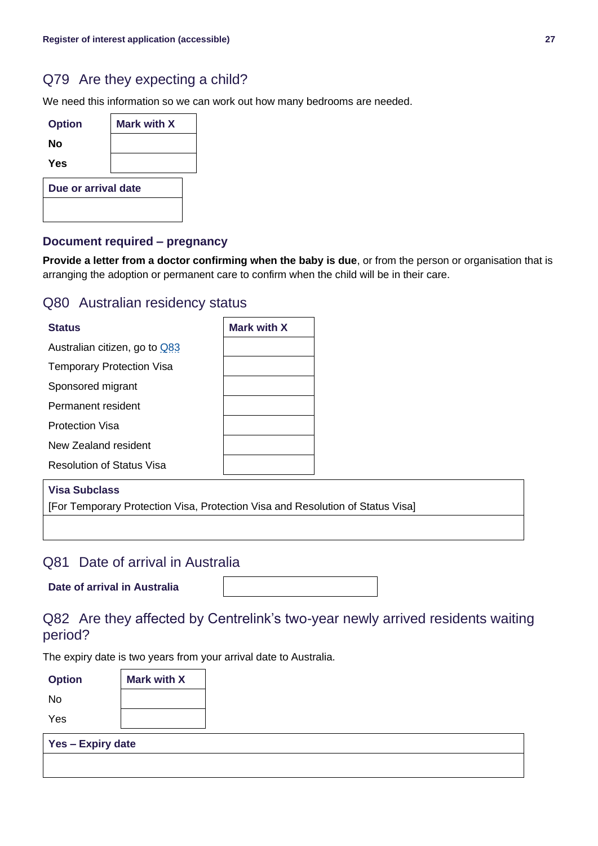#### Q79 Are they expecting a child?

We need this information so we can work out how many bedrooms are needed.

| <b>Option</b>       | Mark with X |  |
|---------------------|-------------|--|
| No                  |             |  |
| <b>Yes</b>          |             |  |
| Due or arrival date |             |  |
|                     |             |  |

#### **Document required – pregnancy**

**Provide a letter from a doctor confirming when the baby is due**, or from the person or organisation that is arranging the adoption or permanent care to confirm when the child will be in their care.

#### Q80 Australian residency status

| <b>Status</b>                    | Mark with X |
|----------------------------------|-------------|
| Australian citizen, go to Q83    |             |
| <b>Temporary Protection Visa</b> |             |
| Sponsored migrant                |             |
| Permanent resident               |             |
| <b>Protection Visa</b>           |             |
| New Zealand resident             |             |
| <b>Resolution of Status Visa</b> |             |

#### **Visa Subclass**

[For Temporary Protection Visa, Protection Visa and Resolution of Status Visa]

#### Q81 Date of arrival in Australia

**Date of arrival in Australia**

Q82 Are they affected by Centrelink's two-year newly arrived residents waiting period?

The expiry date is two years from your arrival date to Australia.

| <b>Option</b> | <b>Mark with X</b> |
|---------------|--------------------|
| No            |                    |
| <b>Yes</b>    |                    |

|  | Yes - Expiry date |  |
|--|-------------------|--|
|--|-------------------|--|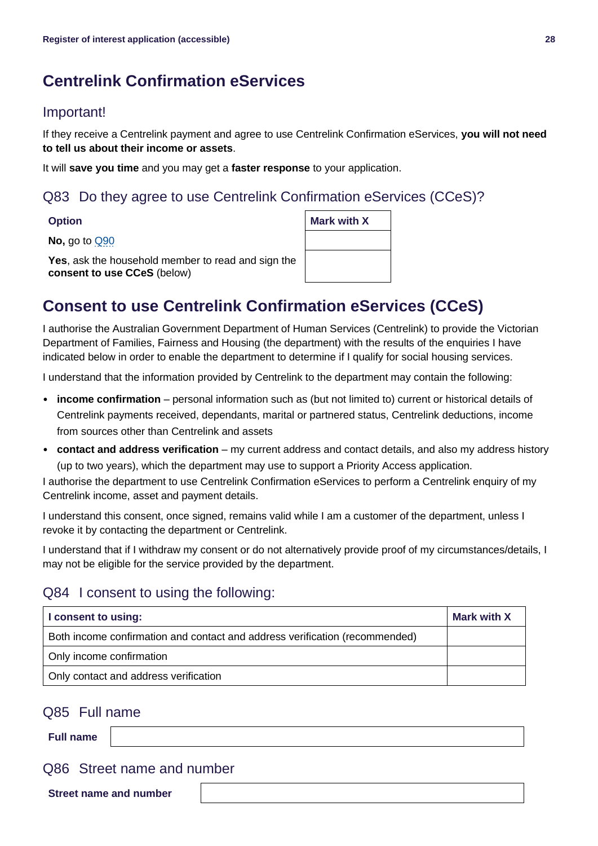### **Centrelink Confirmation eServices**

#### Important!

If they receive a Centrelink payment and agree to use Centrelink Confirmation eServices, **you will not need to tell us about their income or assets**.

It will **save you time** and you may get a **faster response** to your application.

#### <span id="page-27-0"></span>Q83 Do they agree to use Centrelink Confirmation eServices (CCeS)?

| <b>Option</b>                                                                     | <b>Mark with X</b> |
|-----------------------------------------------------------------------------------|--------------------|
| No, go to $Q90$                                                                   |                    |
| Yes, ask the household member to read and sign the<br>consent to use CCeS (below) |                    |

### **Consent to use Centrelink Confirmation eServices (CCeS)**

I authorise the Australian Government Department of Human Services (Centrelink) to provide the Victorian Department of Families, Fairness and Housing (the department) with the results of the enquiries I have indicated below in order to enable the department to determine if I qualify for social housing services.

I understand that the information provided by Centrelink to the department may contain the following:

- **income confirmation** personal information such as (but not limited to) current or historical details of Centrelink payments received, dependants, marital or partnered status, Centrelink deductions, income from sources other than Centrelink and assets
- **contact and address verification** my current address and contact details, and also my address history (up to two years), which the department may use to support a Priority Access application.

I authorise the department to use Centrelink Confirmation eServices to perform a Centrelink enquiry of my Centrelink income, asset and payment details.

I understand this consent, once signed, remains valid while I am a customer of the department, unless I revoke it by contacting the department or Centrelink.

I understand that if I withdraw my consent or do not alternatively provide proof of my circumstances/details, I may not be eligible for the service provided by the department.

### Q84 I consent to using the following:

| I consent to using:                                                         | Mark with <b>X</b> |
|-----------------------------------------------------------------------------|--------------------|
| Both income confirmation and contact and address verification (recommended) |                    |
| Only income confirmation                                                    |                    |
| Only contact and address verification                                       |                    |

#### Q85 Full name

**Full name**

Q86 Street name and number

**Street name and number**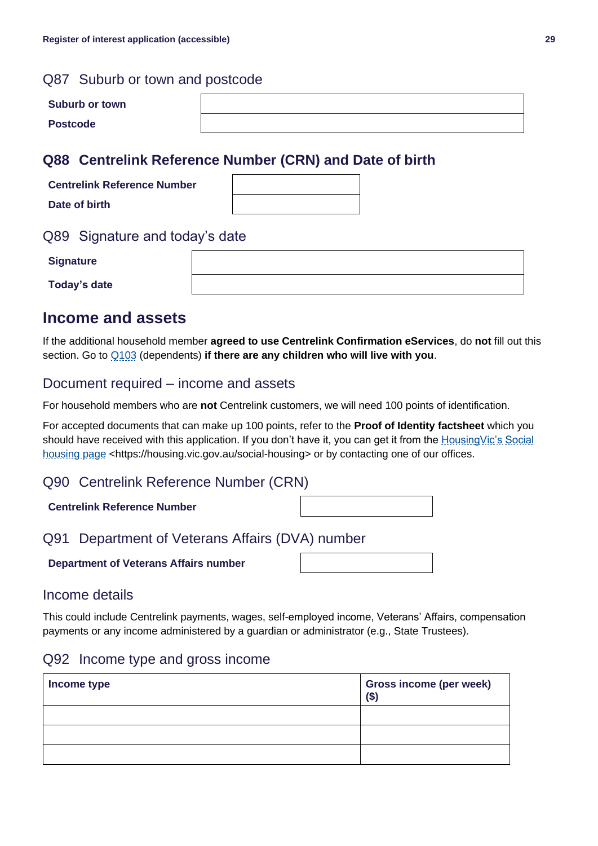#### Q87 Suburb or town and postcode

| <b>Suburb or town</b> |  |
|-----------------------|--|
| <b>Postcode</b>       |  |

#### **Q88 Centrelink Reference Number (CRN) and Date of birth**

| <b>Centrelink Reference Number</b> |
|------------------------------------|
| Date of birth                      |

#### Q89 Signature and today's date

| <b>Signature</b> |  |
|------------------|--|
| Today's date     |  |

### **Income and assets**

If the additional household member **agreed to use Centrelink Confirmation eServices**, do **not** fill out this section. Go to [Q103](#page-31-0) (dependents) **if there are any children who will live with you**.

#### Document required – income and assets

For household members who are **not** Centrelink customers, we will need 100 points of identification.

For accepted documents that can make up 100 points, refer to the **Proof of Identity factsheet** which you should have received with this application. If you don't have it, you can get it from the HousingVic's Social [housing page](https://housing.vic.gov.au/social-housing) <https://housing.vic.gov.au/social-housing> or by contacting one of our offices.

#### <span id="page-28-0"></span>Q90 Centrelink Reference Number (CRN)

| <b>Centrelink Reference Number</b> |  |  |
|------------------------------------|--|--|
|------------------------------------|--|--|

#### Q91 Department of Veterans Affairs (DVA) number

**Department of Veterans Affairs number**

#### Income details

This could include Centrelink payments, wages, self-employed income, Veterans' Affairs, compensation payments or any income administered by a guardian or administrator (e.g., State Trustees).

#### Q92 Income type and gross income

| Income type | <b>Gross income (per week)</b><br>$($ \$) |
|-------------|-------------------------------------------|
|             |                                           |
|             |                                           |
|             |                                           |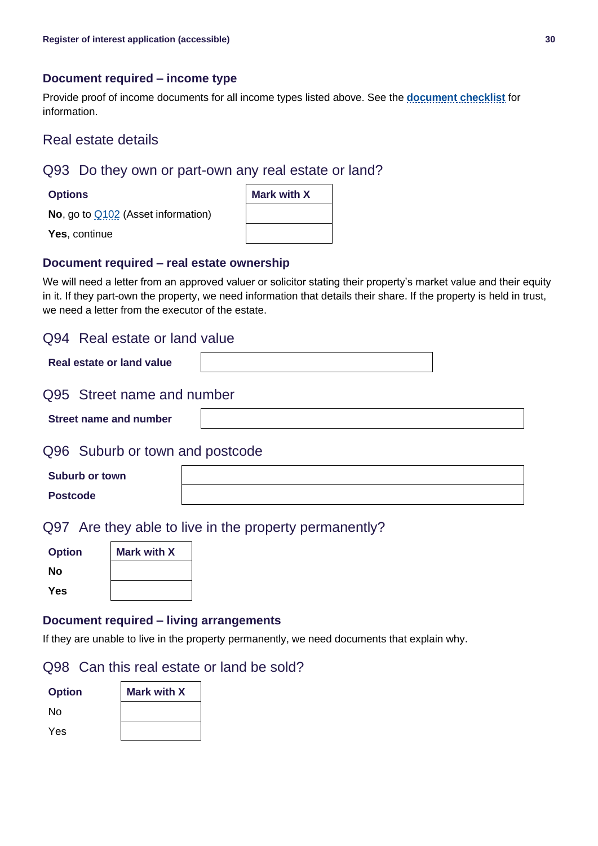#### **Document required – income type**

Provide proof of income documents for all income types listed above. See the **[document checklist](#page-21-0)** for information.

#### Real estate details

#### Q93 Do they own or part-own any real estate or land?

#### **Options**

**No**, go to [Q102](#page-30-0) (Asset information)

| <b>Mark with X</b> |
|--------------------|
|                    |
|                    |

**Yes**, continue

#### **Document required – real estate ownership**

We will need a letter from an approved valuer or solicitor stating their property's market value and their equity in it. If they part-own the property, we need information that details their share. If the property is held in trust, we need a letter from the executor of the estate.

#### Q94 Real estate or land value

**Real estate or land value**

#### Q95 Street name and number

**Street name and number**

#### Q96 Suburb or town and postcode

| <b>Suburb or town</b> |  |
|-----------------------|--|
| <b>Postcode</b>       |  |

#### Q97 Are they able to live in the property permanently?

| <b>Option</b> | <b>Mark with X</b> |  |
|---------------|--------------------|--|
| No            |                    |  |
| <b>Yes</b>    |                    |  |

#### **Document required – living arrangements**

If they are unable to live in the property permanently, we need documents that explain why.

#### Q98 Can this real estate or land be sold?

| <b>Option</b> | <b>Mark with X</b> |  |
|---------------|--------------------|--|
| No            |                    |  |
| <b>Yes</b>    |                    |  |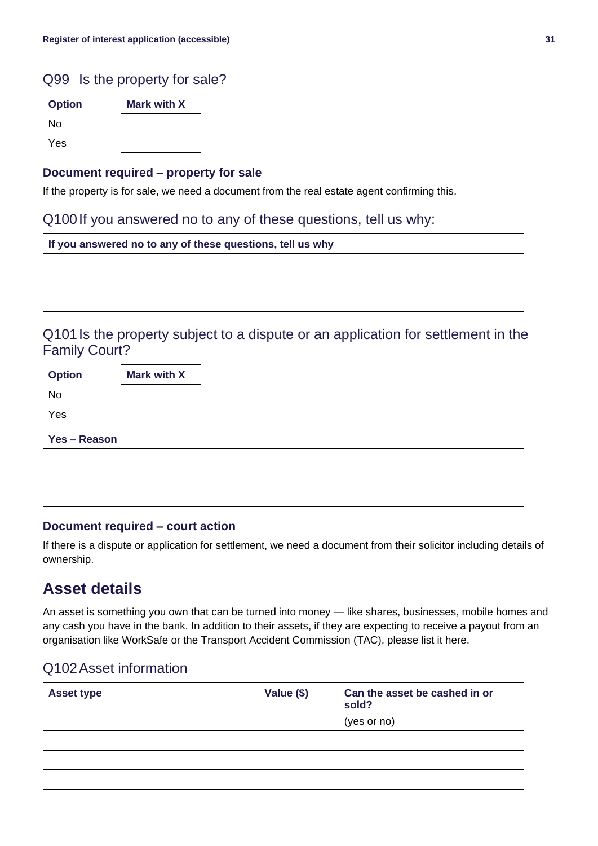#### Q99 Is the property for sale?

| <b>Option</b> | <b>Mark with X</b> |
|---------------|--------------------|
| No            |                    |
| Yes           |                    |

#### **Document required – property for sale**

If the property is for sale, we need a document from the real estate agent confirming this.

#### Q100If you answered no to any of these questions, tell us why:

| If you answered no to any of these questions, tell us why                         |  |
|-----------------------------------------------------------------------------------|--|
|                                                                                   |  |
|                                                                                   |  |
|                                                                                   |  |
|                                                                                   |  |
| Q101 ls the property subject to a dispute or an application for settlement in the |  |

the property subject to a dispute or an application for settlement in the Family Court?

| <b>Option</b> | <b>Mark with X</b> |
|---------------|--------------------|
| N٥            |                    |
| Yes           |                    |

| Yes - Reason |  |  |
|--------------|--|--|
|              |  |  |
|              |  |  |
|              |  |  |

#### **Document required – court action**

If there is a dispute or application for settlement, we need a document from their solicitor including details of ownership.

### **Asset details**

An asset is something you own that can be turned into money — like shares, businesses, mobile homes and any cash you have in the bank. In addition to their assets, if they are expecting to receive a payout from an organisation like WorkSafe or the Transport Accident Commission (TAC), please list it here.

#### <span id="page-30-0"></span>Q102Asset information

| <b>Asset type</b> | Value (\$) | Can the asset be cashed in or<br>sold?<br>(yes or no) |
|-------------------|------------|-------------------------------------------------------|
|                   |            |                                                       |
|                   |            |                                                       |
|                   |            |                                                       |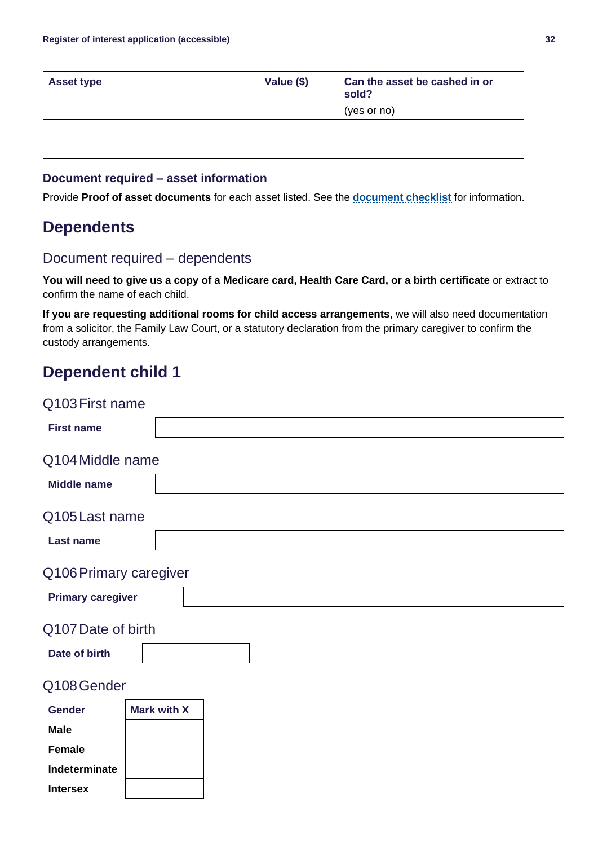| <b>Asset type</b> | Value (\$) | Can the asset be cashed in or<br>sold?<br>(yes or no) |
|-------------------|------------|-------------------------------------------------------|
|                   |            |                                                       |
|                   |            |                                                       |

#### **Document required – asset information**

Provide **Proof of asset documents** for each asset listed. See the **[document checklist](#page-21-0)** for information.

### **Dependents**

#### Document required – dependents

**You will need to give us a copy of a Medicare card, Health Care Card, or a birth certificate** or extract to confirm the name of each child.

**If you are requesting additional rooms for child access arrangements**, we will also need documentation from a solicitor, the Family Law Court, or a statutory declaration from the primary caregiver to confirm the custody arrangements.

### **Dependent child 1**

<span id="page-31-0"></span>

| Q103 First name          |                  |  |  |  |
|--------------------------|------------------|--|--|--|
|                          |                  |  |  |  |
|                          |                  |  |  |  |
|                          |                  |  |  |  |
|                          |                  |  |  |  |
| Q105 Last name           |                  |  |  |  |
|                          |                  |  |  |  |
|                          |                  |  |  |  |
| Q106 Primary caregiver   |                  |  |  |  |
| <b>Primary caregiver</b> |                  |  |  |  |
| Q107 Date of birth       |                  |  |  |  |
|                          |                  |  |  |  |
|                          |                  |  |  |  |
| Q108 Gender              |                  |  |  |  |
| <b>Mark with X</b>       |                  |  |  |  |
|                          |                  |  |  |  |
|                          |                  |  |  |  |
|                          |                  |  |  |  |
|                          |                  |  |  |  |
|                          | Q104 Middle name |  |  |  |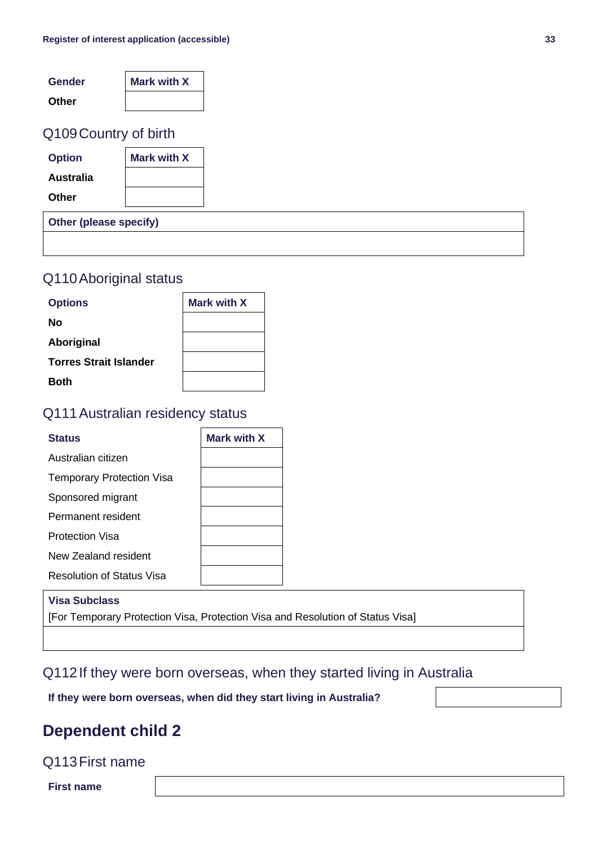| <b>Gender</b> | Mark with X |  |
|---------------|-------------|--|
| Other         |             |  |

#### Q109Country of birth

| <b>Option</b>          | <b>Mark with X</b> |  |  |
|------------------------|--------------------|--|--|
| Australia              |                    |  |  |
| Other                  |                    |  |  |
| Other (please specify) |                    |  |  |

#### Q110Aboriginal status

| <b>Options</b>                | <b>Mark with X</b> |
|-------------------------------|--------------------|
| No                            |                    |
| Aboriginal                    |                    |
| <b>Torres Strait Islander</b> |                    |
| <b>Both</b>                   |                    |

#### Q111Australian residency status

| <b>Status</b>                    | Mark with X |
|----------------------------------|-------------|
| Australian citizen               |             |
| <b>Temporary Protection Visa</b> |             |
| Sponsored migrant                |             |
| Permanent resident               |             |
| <b>Protection Visa</b>           |             |
| New Zealand resident             |             |
| <b>Resolution of Status Visa</b> |             |

#### **Visa Subclass**

[For Temporary Protection Visa, Protection Visa and Resolution of Status Visa]

### Q112If they were born overseas, when they started living in Australia

**If they were born overseas, when did they start living in Australia?**



### **Dependent child 2**

#### Q113First name

**First name**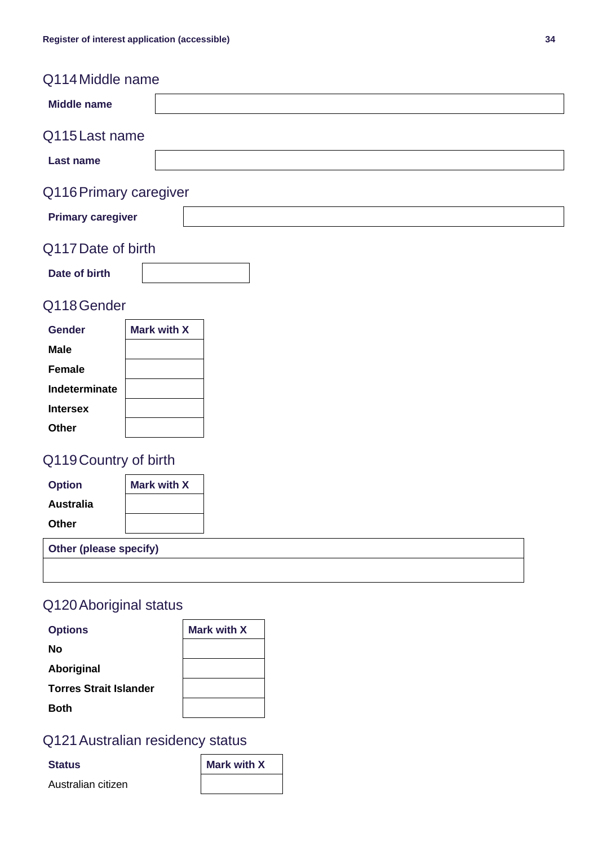| Q114 Middle name         |                    |  |  |
|--------------------------|--------------------|--|--|
| <b>Middle name</b>       |                    |  |  |
| Q115 Last name           |                    |  |  |
| Last name                |                    |  |  |
| Q116 Primary caregiver   |                    |  |  |
| <b>Primary caregiver</b> |                    |  |  |
| Q117 Date of birth       |                    |  |  |
| Date of birth            |                    |  |  |
| Q118 Gender              |                    |  |  |
| <b>Gender</b>            | <b>Mark with X</b> |  |  |
| <b>Male</b>              |                    |  |  |

| <b>Male</b>     |  |
|-----------------|--|
| <b>Female</b>   |  |
| Indeterminate   |  |
| <b>Intersex</b> |  |
| Other           |  |

### Q119Country of birth

| <b>Option</b>    | <b>Mark with X</b> |  |
|------------------|--------------------|--|
| <b>Australia</b> |                    |  |
| Other            |                    |  |

#### **Other (please specify)**

### Q120Aboriginal status

| <b>Options</b>                | <b>Mark with X</b> |
|-------------------------------|--------------------|
| No                            |                    |
| Aboriginal                    |                    |
| <b>Torres Strait Islander</b> |                    |
| <b>Roth</b>                   |                    |

### Q121Australian residency status



Australian citizen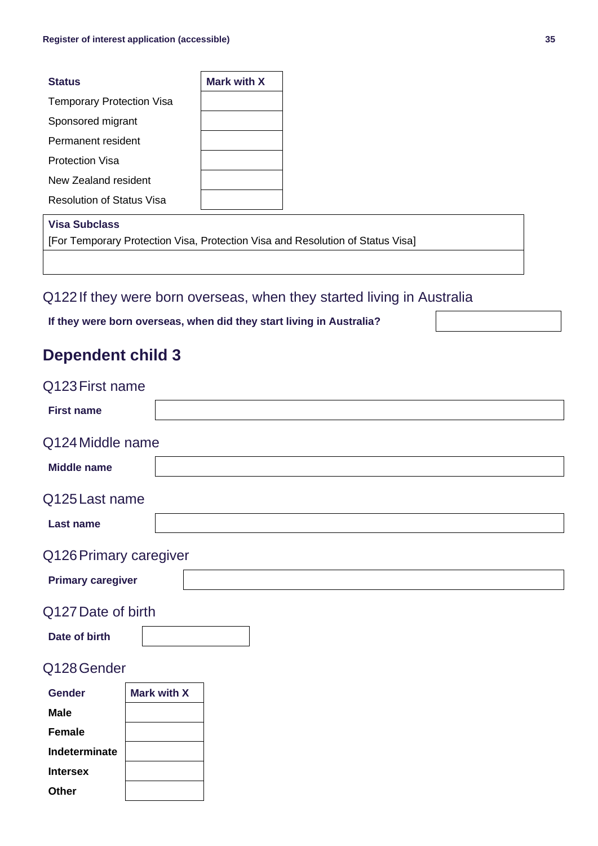| <b>Status</b>                    | <b>Mark with X</b> |
|----------------------------------|--------------------|
| <b>Temporary Protection Visa</b> |                    |
| Sponsored migrant                |                    |
| Permanent resident               |                    |
| <b>Protection Visa</b>           |                    |
| New Zealand resident             |                    |
| <b>Resolution of Status Visa</b> |                    |

#### **Visa Subclass**

[For Temporary Protection Visa, Protection Visa and Resolution of Status Visa]

### Q122If they were born overseas, when they started living in Australia

**If they were born overseas, when did they start living in Australia?**

### **Dependent child 3**

| Q123 First name          |                    |  |
|--------------------------|--------------------|--|
| <b>First name</b>        |                    |  |
| Q124 Middle name         |                    |  |
| <b>Middle name</b>       |                    |  |
| Q125 Last name           |                    |  |
| <b>Last name</b>         |                    |  |
| Q126 Primary caregiver   |                    |  |
| <b>Primary caregiver</b> |                    |  |
| Q127 Date of birth       |                    |  |
| Date of birth            |                    |  |
| Q128 Gender              |                    |  |
| <b>Gender</b>            | <b>Mark with X</b> |  |
| <b>Male</b>              |                    |  |
| <b>Female</b>            |                    |  |
| Indeterminate            |                    |  |
| <b>Intersex</b>          |                    |  |
| Other                    |                    |  |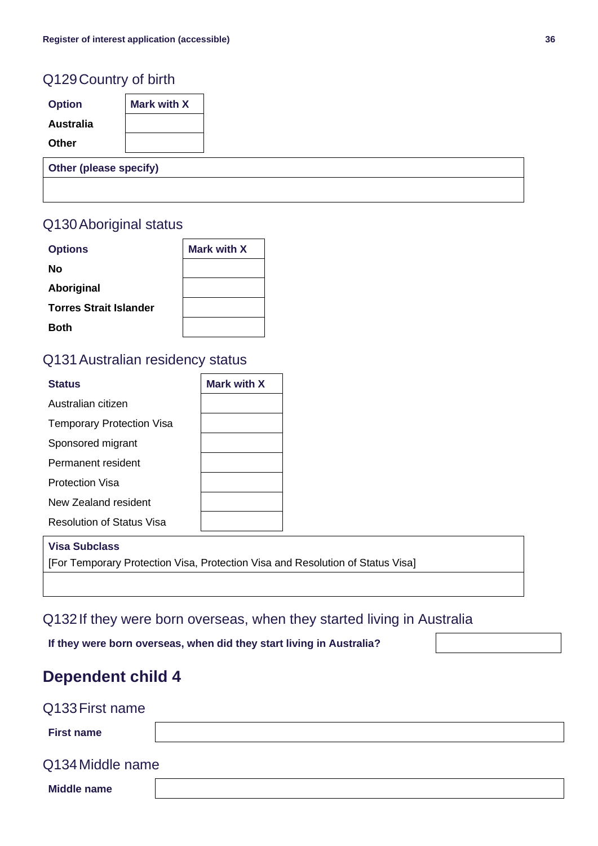### Q129Country of birth

| <b>Option</b>                 | <b>Mark with X</b> |
|-------------------------------|--------------------|
| <b>Australia</b>              |                    |
| Other                         |                    |
| <b>Other (please specify)</b> |                    |

#### Q130Aboriginal status

| <b>Options</b>                | <b>Mark with X</b> |
|-------------------------------|--------------------|
| Nο                            |                    |
| Aboriginal                    |                    |
| <b>Torres Strait Islander</b> |                    |
| <b>Both</b>                   |                    |

#### Q131Australian residency status

| <b>Status</b>                    | Mark with X |
|----------------------------------|-------------|
| Australian citizen               |             |
| <b>Temporary Protection Visa</b> |             |
| Sponsored migrant                |             |
| Permanent resident               |             |
| <b>Protection Visa</b>           |             |
| New Zealand resident             |             |
| <b>Resolution of Status Visa</b> |             |

#### **Visa Subclass**

[For Temporary Protection Visa, Protection Visa and Resolution of Status Visa]

#### Q132If they were born overseas, when they started living in Australia

**If they were born overseas, when did they start living in Australia?**

### **Dependent child 4**

| Q133 First name    |  |
|--------------------|--|
| <b>First name</b>  |  |
| Q134 Middle name   |  |
| <b>Middle name</b> |  |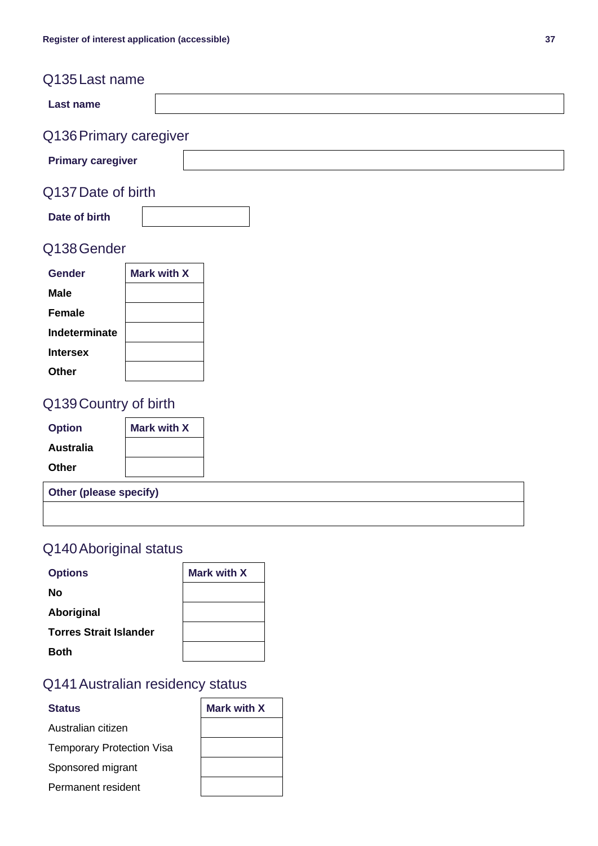| Q135 Last name                |                    |  |  |  |  |  |
|-------------------------------|--------------------|--|--|--|--|--|
| Last name                     |                    |  |  |  |  |  |
| Q136 Primary caregiver        |                    |  |  |  |  |  |
| <b>Primary caregiver</b>      |                    |  |  |  |  |  |
| Q137 Date of birth            |                    |  |  |  |  |  |
| Date of birth                 |                    |  |  |  |  |  |
| Q138 Gender                   |                    |  |  |  |  |  |
| <b>Gender</b>                 | <b>Mark with X</b> |  |  |  |  |  |
| <b>Male</b>                   |                    |  |  |  |  |  |
| <b>Female</b>                 |                    |  |  |  |  |  |
| Indeterminate                 |                    |  |  |  |  |  |
| <b>Intersex</b>               |                    |  |  |  |  |  |
| <b>Other</b>                  |                    |  |  |  |  |  |
| Q139 Country of birth         |                    |  |  |  |  |  |
| <b>Option</b>                 | <b>Mark with X</b> |  |  |  |  |  |
| <b>Australia</b>              |                    |  |  |  |  |  |
| <b>Other</b>                  |                    |  |  |  |  |  |
| <b>Other (please specify)</b> |                    |  |  |  |  |  |
|                               |                    |  |  |  |  |  |
|                               |                    |  |  |  |  |  |

### Q140Aboriginal status

| <b>Options</b>                | <b>Mark with X</b> |
|-------------------------------|--------------------|
| No                            |                    |
| Aboriginal                    |                    |
| <b>Torres Strait Islander</b> |                    |
| <b>Both</b>                   |                    |

### Q141Australian residency status

#### **Status**

Australian citizen

Temporary Protection Visa

Sponsored migrant

Permanent resident

| <b>Mark with X</b> |  |
|--------------------|--|
|                    |  |
|                    |  |
|                    |  |
|                    |  |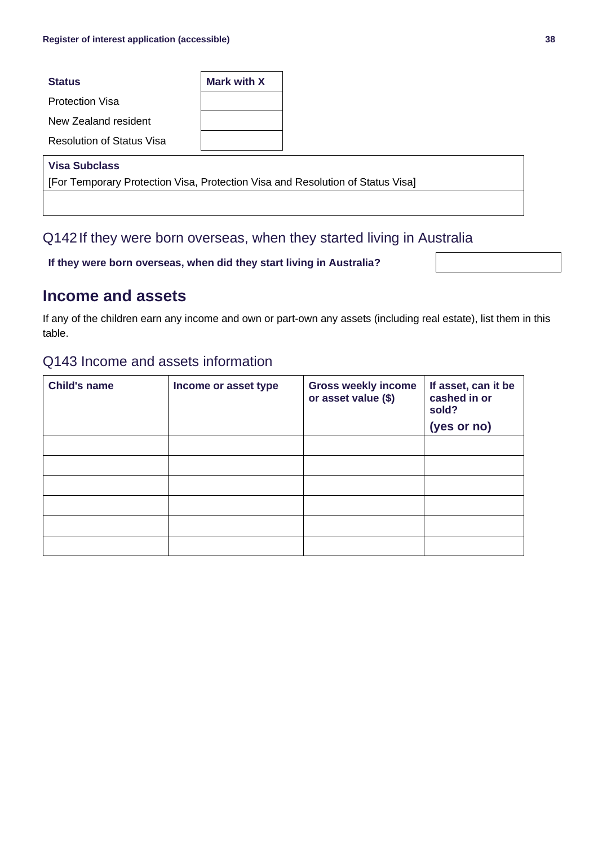# **Status Mark with X** Protection Visa New Zealand resident Resolution of Status Visa **Visa Subclass**

[For Temporary Protection Visa, Protection Visa and Resolution of Status Visa]

#### Q142If they were born overseas, when they started living in Australia

**If they were born overseas, when did they start living in Australia?**

### **Income and assets**

If any of the children earn any income and own or part-own any assets (including real estate), list them in this table.

#### Q143 Income and assets information

| <b>Child's name</b> | Income or asset type | <b>Gross weekly income</b><br>or asset value (\$) | If asset, can it be<br>cashed in or<br>sold?<br>(yes or no) |
|---------------------|----------------------|---------------------------------------------------|-------------------------------------------------------------|
|                     |                      |                                                   |                                                             |
|                     |                      |                                                   |                                                             |
|                     |                      |                                                   |                                                             |
|                     |                      |                                                   |                                                             |
|                     |                      |                                                   |                                                             |
|                     |                      |                                                   |                                                             |